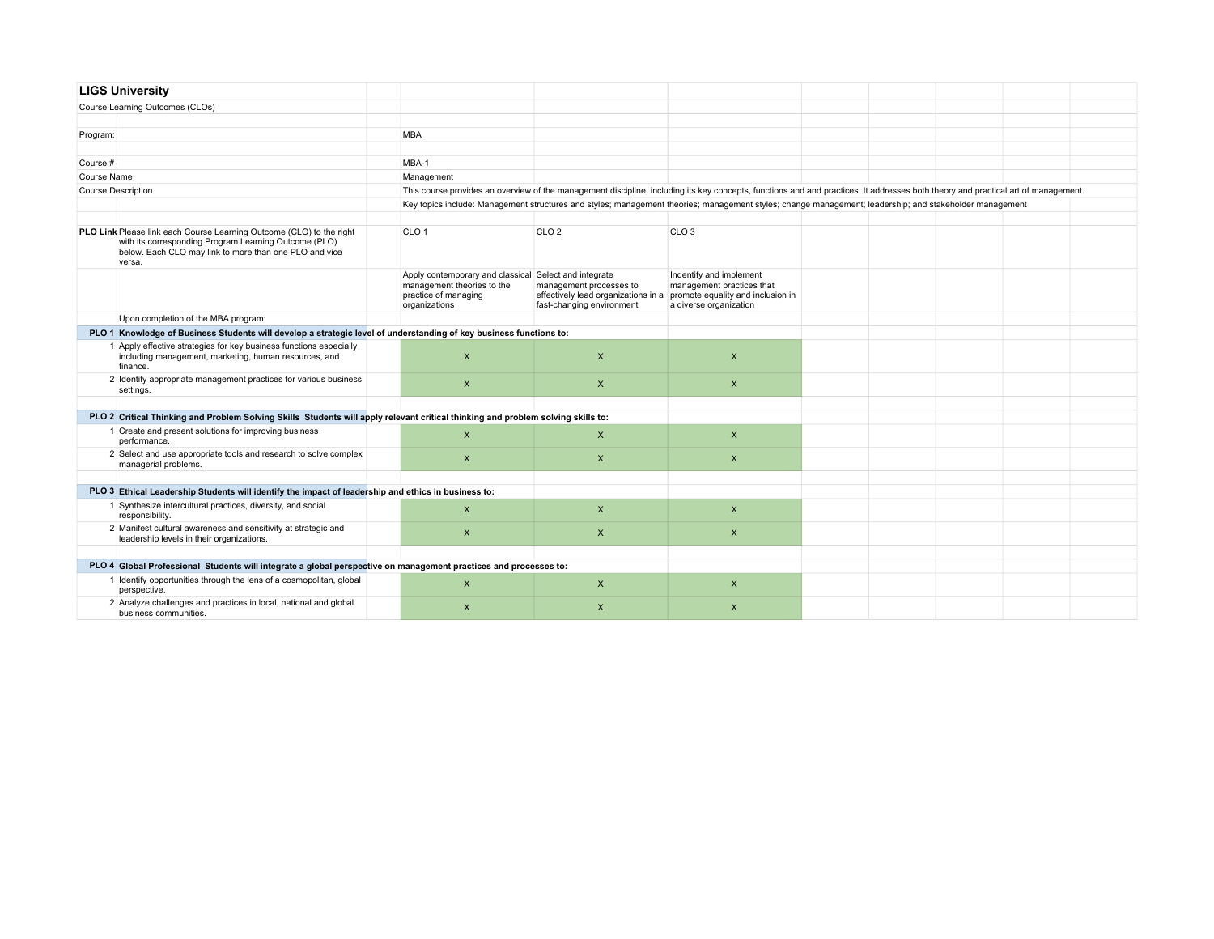| <b>LIGS University</b> |                                                                                                                                                                                                   |                                                                                                                                                                                   |                                                                                                                               |                                                                                                                                                         |  |  |  |
|------------------------|---------------------------------------------------------------------------------------------------------------------------------------------------------------------------------------------------|-----------------------------------------------------------------------------------------------------------------------------------------------------------------------------------|-------------------------------------------------------------------------------------------------------------------------------|---------------------------------------------------------------------------------------------------------------------------------------------------------|--|--|--|
|                        | Course Learning Outcomes (CLOs)                                                                                                                                                                   |                                                                                                                                                                                   |                                                                                                                               |                                                                                                                                                         |  |  |  |
|                        |                                                                                                                                                                                                   |                                                                                                                                                                                   |                                                                                                                               |                                                                                                                                                         |  |  |  |
| Program:               |                                                                                                                                                                                                   | <b>MBA</b>                                                                                                                                                                        |                                                                                                                               |                                                                                                                                                         |  |  |  |
|                        |                                                                                                                                                                                                   |                                                                                                                                                                                   |                                                                                                                               |                                                                                                                                                         |  |  |  |
| Course #               |                                                                                                                                                                                                   | MBA-1                                                                                                                                                                             |                                                                                                                               |                                                                                                                                                         |  |  |  |
| Course Name            |                                                                                                                                                                                                   | Management                                                                                                                                                                        |                                                                                                                               |                                                                                                                                                         |  |  |  |
|                        | <b>Course Description</b>                                                                                                                                                                         | This course provides an overview of the management discipline, including its key concepts, functions and and practices. It addresses both theory and practical art of management. |                                                                                                                               |                                                                                                                                                         |  |  |  |
|                        |                                                                                                                                                                                                   |                                                                                                                                                                                   |                                                                                                                               | Key topics include: Management structures and styles; management theories; management styles; change management; leadership; and stakeholder management |  |  |  |
|                        |                                                                                                                                                                                                   |                                                                                                                                                                                   |                                                                                                                               |                                                                                                                                                         |  |  |  |
|                        | PLO Link Please link each Course Learning Outcome (CLO) to the right<br>with its corresponding Program Learning Outcome (PLO)<br>below. Each CLO may link to more than one PLO and vice<br>versa. | CLO <sub>1</sub>                                                                                                                                                                  | CLO <sub>2</sub>                                                                                                              | CLO <sub>3</sub>                                                                                                                                        |  |  |  |
|                        |                                                                                                                                                                                                   | Apply contemporary and classical Select and integrate<br>management theories to the<br>practice of managing<br>organizations                                                      | management processes to<br>effectively lead organizations in a promote equality and inclusion in<br>fast-changing environment | Indentify and implement<br>management practices that<br>a diverse organization                                                                          |  |  |  |
|                        | Upon completion of the MBA program:                                                                                                                                                               |                                                                                                                                                                                   |                                                                                                                               |                                                                                                                                                         |  |  |  |
|                        | PLO 1 Knowledge of Business Students will develop a strategic level of understanding of key business functions to:                                                                                |                                                                                                                                                                                   |                                                                                                                               |                                                                                                                                                         |  |  |  |
|                        | 1 Apply effective strategies for key business functions especially<br>including management, marketing, human resources, and<br>finance.                                                           | $\mathsf{x}$                                                                                                                                                                      | $\mathsf{x}$                                                                                                                  | $\mathsf{x}$                                                                                                                                            |  |  |  |
|                        | 2 Identify appropriate management practices for various business<br>settings.                                                                                                                     | $\mathsf{x}$                                                                                                                                                                      | $\mathsf{x}$                                                                                                                  | $\mathsf{X}$                                                                                                                                            |  |  |  |
|                        |                                                                                                                                                                                                   |                                                                                                                                                                                   |                                                                                                                               |                                                                                                                                                         |  |  |  |
|                        | PLO 2 Critical Thinking and Problem Solving Skills Students will apply relevant critical thinking and problem solving skills to:                                                                  |                                                                                                                                                                                   |                                                                                                                               |                                                                                                                                                         |  |  |  |
|                        | 1 Create and present solutions for improving business<br>performance.                                                                                                                             | $\mathsf{X}$                                                                                                                                                                      | $\mathsf{x}$                                                                                                                  | $\mathsf{x}$                                                                                                                                            |  |  |  |
|                        | 2 Select and use appropriate tools and research to solve complex<br>managerial problems.                                                                                                          | $\mathsf{x}$                                                                                                                                                                      | $\mathsf{x}$                                                                                                                  | $\mathsf{x}$                                                                                                                                            |  |  |  |
|                        |                                                                                                                                                                                                   |                                                                                                                                                                                   |                                                                                                                               |                                                                                                                                                         |  |  |  |
|                        | PLO 3 Ethical Leadership Students will identify the impact of leadership and ethics in business to:                                                                                               |                                                                                                                                                                                   |                                                                                                                               |                                                                                                                                                         |  |  |  |
|                        | 1 Synthesize intercultural practices, diversity, and social<br>responsibility.                                                                                                                    | $\pmb{\times}$                                                                                                                                                                    | $\mathsf{x}$                                                                                                                  | $\mathsf{x}$                                                                                                                                            |  |  |  |
|                        | 2 Manifest cultural awareness and sensitivity at strategic and<br>leadership levels in their organizations.                                                                                       | $\pmb{\times}$                                                                                                                                                                    | $\mathsf{x}$                                                                                                                  | $\mathsf{X}$                                                                                                                                            |  |  |  |
|                        |                                                                                                                                                                                                   |                                                                                                                                                                                   |                                                                                                                               |                                                                                                                                                         |  |  |  |
|                        | PLO 4 Global Professional Students will integrate a global perspective on management practices and processes to:                                                                                  |                                                                                                                                                                                   |                                                                                                                               |                                                                                                                                                         |  |  |  |
|                        | 1 Identify opportunities through the lens of a cosmopolitan, global<br>perspective.                                                                                                               | $\pmb{\times}$                                                                                                                                                                    | $\mathsf{x}$                                                                                                                  | $\pmb{\times}$                                                                                                                                          |  |  |  |
|                        | 2 Analyze challenges and practices in local, national and global<br>business communities.                                                                                                         | $\mathsf{x}$                                                                                                                                                                      | $\mathsf{x}$                                                                                                                  | $\mathsf{x}$                                                                                                                                            |  |  |  |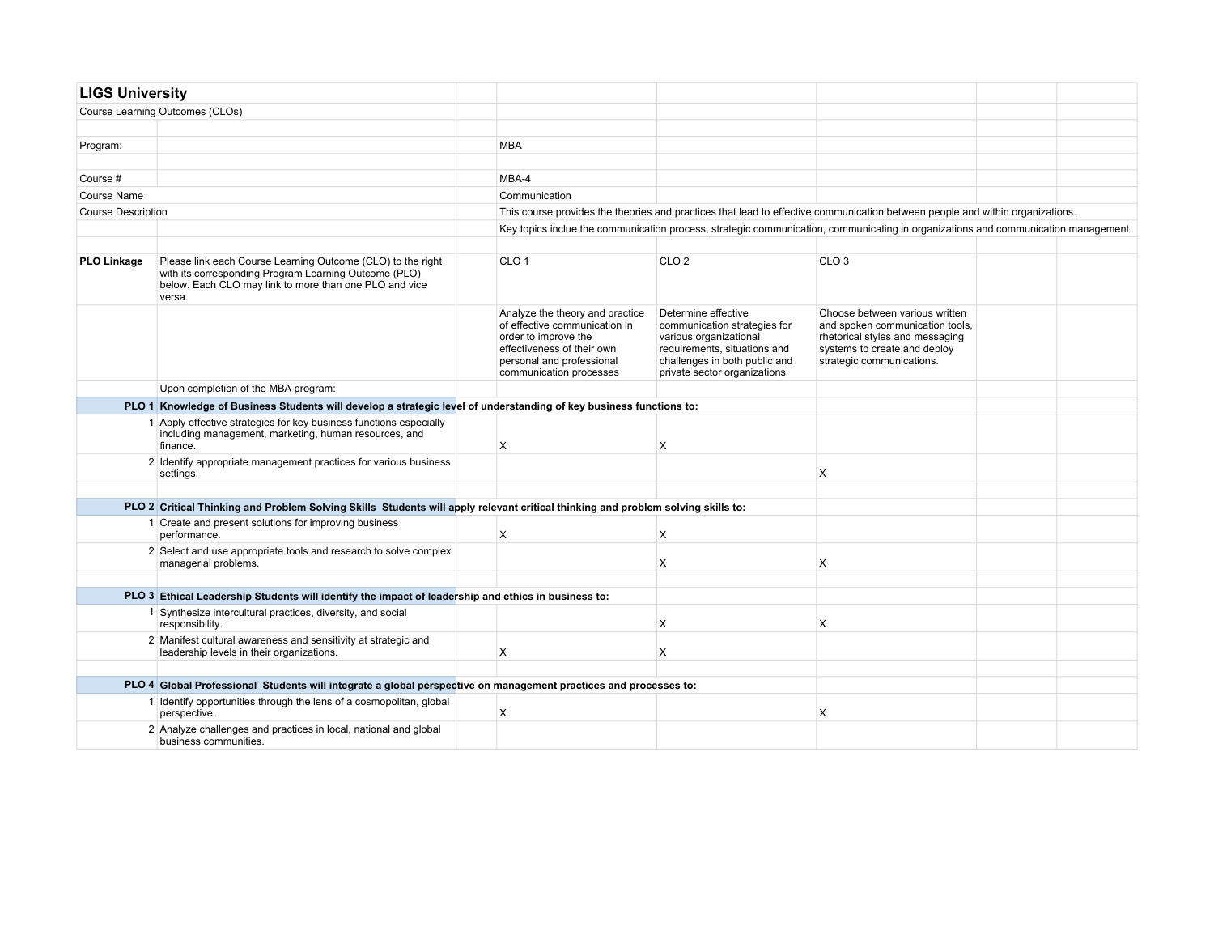| <b>LIGS University</b>    |                                                                                                                                                                                          |                                                                                                                                                                                |                                                                                                                                                                                |                                                                                                                                                                   |  |
|---------------------------|------------------------------------------------------------------------------------------------------------------------------------------------------------------------------------------|--------------------------------------------------------------------------------------------------------------------------------------------------------------------------------|--------------------------------------------------------------------------------------------------------------------------------------------------------------------------------|-------------------------------------------------------------------------------------------------------------------------------------------------------------------|--|
|                           | Course Learning Outcomes (CLOs)                                                                                                                                                          |                                                                                                                                                                                |                                                                                                                                                                                |                                                                                                                                                                   |  |
|                           |                                                                                                                                                                                          |                                                                                                                                                                                |                                                                                                                                                                                |                                                                                                                                                                   |  |
| Program:                  |                                                                                                                                                                                          | <b>MBA</b>                                                                                                                                                                     |                                                                                                                                                                                |                                                                                                                                                                   |  |
|                           |                                                                                                                                                                                          |                                                                                                                                                                                |                                                                                                                                                                                |                                                                                                                                                                   |  |
| Course #                  |                                                                                                                                                                                          | MBA-4                                                                                                                                                                          |                                                                                                                                                                                |                                                                                                                                                                   |  |
| <b>Course Name</b>        |                                                                                                                                                                                          | Communication                                                                                                                                                                  |                                                                                                                                                                                |                                                                                                                                                                   |  |
| <b>Course Description</b> |                                                                                                                                                                                          |                                                                                                                                                                                |                                                                                                                                                                                | This course provides the theories and practices that lead to effective communication between people and within organizations.                                     |  |
|                           |                                                                                                                                                                                          |                                                                                                                                                                                |                                                                                                                                                                                | Key topics inclue the communication process, strategic communication, communicating in organizations and communication management.                                |  |
|                           |                                                                                                                                                                                          |                                                                                                                                                                                |                                                                                                                                                                                |                                                                                                                                                                   |  |
| <b>PLO Linkage</b>        | Please link each Course Learning Outcome (CLO) to the right<br>with its corresponding Program Learning Outcome (PLO)<br>below. Each CLO may link to more than one PLO and vice<br>versa. | CLO <sub>1</sub>                                                                                                                                                               | CLO <sub>2</sub>                                                                                                                                                               | CLO <sub>3</sub>                                                                                                                                                  |  |
|                           |                                                                                                                                                                                          | Analyze the theory and practice<br>of effective communication in<br>order to improve the<br>effectiveness of their own<br>personal and professional<br>communication processes | Determine effective<br>communication strategies for<br>various organizational<br>requirements, situations and<br>challenges in both public and<br>private sector organizations | Choose between various written<br>and spoken communication tools,<br>rhetorical styles and messaging<br>systems to create and deploy<br>strategic communications. |  |
|                           | Upon completion of the MBA program:                                                                                                                                                      |                                                                                                                                                                                |                                                                                                                                                                                |                                                                                                                                                                   |  |
|                           | PLO 1 Knowledge of Business Students will develop a strategic level of understanding of key business functions to:                                                                       |                                                                                                                                                                                |                                                                                                                                                                                |                                                                                                                                                                   |  |
|                           | 1 Apply effective strategies for key business functions especially<br>including management, marketing, human resources, and<br>finance.                                                  | X                                                                                                                                                                              | X                                                                                                                                                                              |                                                                                                                                                                   |  |
|                           | 2 Identify appropriate management practices for various business<br>settings.                                                                                                            |                                                                                                                                                                                |                                                                                                                                                                                | X                                                                                                                                                                 |  |
|                           |                                                                                                                                                                                          |                                                                                                                                                                                |                                                                                                                                                                                |                                                                                                                                                                   |  |
|                           | PLO 2 Critical Thinking and Problem Solving Skills Students will apply relevant critical thinking and problem solving skills to:                                                         |                                                                                                                                                                                |                                                                                                                                                                                |                                                                                                                                                                   |  |
|                           | 1 Create and present solutions for improving business<br>performance.                                                                                                                    | X                                                                                                                                                                              | X                                                                                                                                                                              |                                                                                                                                                                   |  |
|                           | 2 Select and use appropriate tools and research to solve complex<br>managerial problems.                                                                                                 |                                                                                                                                                                                | X                                                                                                                                                                              | X                                                                                                                                                                 |  |
|                           |                                                                                                                                                                                          |                                                                                                                                                                                |                                                                                                                                                                                |                                                                                                                                                                   |  |
|                           | PLO 3 Ethical Leadership Students will identify the impact of leadership and ethics in business to:                                                                                      |                                                                                                                                                                                |                                                                                                                                                                                |                                                                                                                                                                   |  |
|                           | 1 Synthesize intercultural practices, diversity, and social<br>responsibility.                                                                                                           |                                                                                                                                                                                | X                                                                                                                                                                              | X                                                                                                                                                                 |  |
|                           | 2 Manifest cultural awareness and sensitivity at strategic and<br>leadership levels in their organizations.                                                                              | X                                                                                                                                                                              | X                                                                                                                                                                              |                                                                                                                                                                   |  |
|                           |                                                                                                                                                                                          |                                                                                                                                                                                |                                                                                                                                                                                |                                                                                                                                                                   |  |
|                           | PLO 4 Global Professional Students will integrate a global perspective on management practices and processes to:                                                                         |                                                                                                                                                                                |                                                                                                                                                                                |                                                                                                                                                                   |  |
|                           | 1 Identify opportunities through the lens of a cosmopolitan, global<br>perspective.                                                                                                      | X                                                                                                                                                                              |                                                                                                                                                                                | X                                                                                                                                                                 |  |
|                           | 2 Analyze challenges and practices in local, national and global<br>business communities.                                                                                                |                                                                                                                                                                                |                                                                                                                                                                                |                                                                                                                                                                   |  |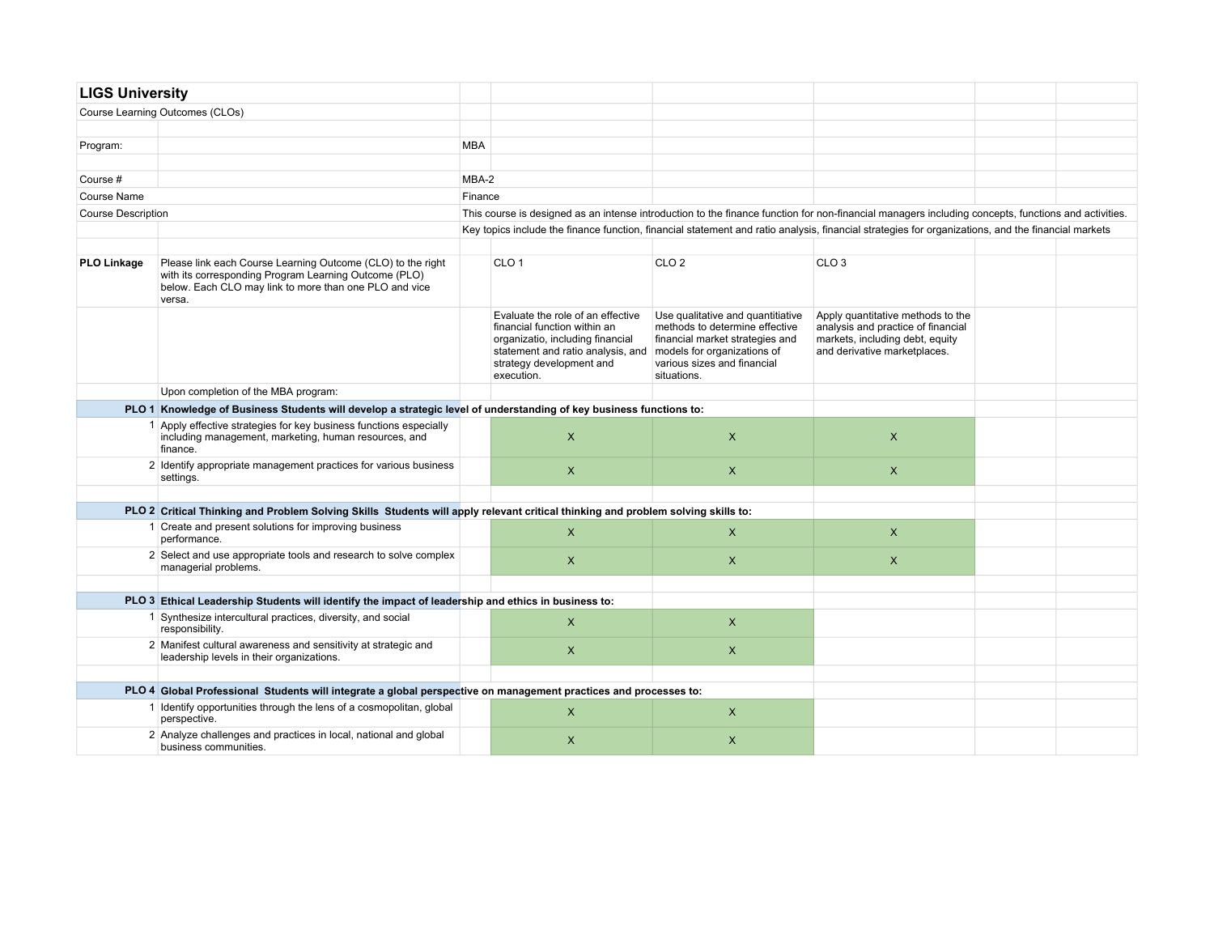| <b>LIGS University</b>    |                                                                                                                                                                                          |            |                                                                                                                                                                                      |                                                                                                                                                                                     |                                                                                                                                                     |  |
|---------------------------|------------------------------------------------------------------------------------------------------------------------------------------------------------------------------------------|------------|--------------------------------------------------------------------------------------------------------------------------------------------------------------------------------------|-------------------------------------------------------------------------------------------------------------------------------------------------------------------------------------|-----------------------------------------------------------------------------------------------------------------------------------------------------|--|
|                           | Course Learning Outcomes (CLOs)                                                                                                                                                          |            |                                                                                                                                                                                      |                                                                                                                                                                                     |                                                                                                                                                     |  |
|                           |                                                                                                                                                                                          |            |                                                                                                                                                                                      |                                                                                                                                                                                     |                                                                                                                                                     |  |
| Program:                  |                                                                                                                                                                                          | <b>MBA</b> |                                                                                                                                                                                      |                                                                                                                                                                                     |                                                                                                                                                     |  |
|                           |                                                                                                                                                                                          |            |                                                                                                                                                                                      |                                                                                                                                                                                     |                                                                                                                                                     |  |
| Course #                  |                                                                                                                                                                                          | MBA-2      |                                                                                                                                                                                      |                                                                                                                                                                                     |                                                                                                                                                     |  |
| Course Name               |                                                                                                                                                                                          | Finance    |                                                                                                                                                                                      |                                                                                                                                                                                     |                                                                                                                                                     |  |
| <b>Course Description</b> |                                                                                                                                                                                          |            |                                                                                                                                                                                      |                                                                                                                                                                                     | This course is designed as an intense introduction to the finance function for non-financial managers including concepts, functions and activities. |  |
|                           |                                                                                                                                                                                          |            |                                                                                                                                                                                      |                                                                                                                                                                                     | Key topics include the finance function, financial statement and ratio analysis, financial strategies for organizations, and the financial markets  |  |
|                           |                                                                                                                                                                                          |            |                                                                                                                                                                                      |                                                                                                                                                                                     |                                                                                                                                                     |  |
| <b>PLO Linkage</b>        | Please link each Course Learning Outcome (CLO) to the right<br>with its corresponding Program Learning Outcome (PLO)<br>below. Each CLO may link to more than one PLO and vice<br>versa. |            | CLO <sub>1</sub>                                                                                                                                                                     | CLO <sub>2</sub>                                                                                                                                                                    | CLO <sub>3</sub>                                                                                                                                    |  |
|                           |                                                                                                                                                                                          |            | Evaluate the role of an effective<br>financial function within an<br>organizatio, including financial<br>statement and ratio analysis, and<br>strategy development and<br>execution. | Use qualitative and quantitiative<br>methods to determine effective<br>financial market strategies and<br>models for organizations of<br>various sizes and financial<br>situations. | Apply quantitative methods to the<br>analysis and practice of financial<br>markets, including debt, equity<br>and derivative marketplaces.          |  |
|                           | Upon completion of the MBA program:                                                                                                                                                      |            |                                                                                                                                                                                      |                                                                                                                                                                                     |                                                                                                                                                     |  |
|                           | PLO 1 Knowledge of Business Students will develop a strategic level of understanding of key business functions to:                                                                       |            |                                                                                                                                                                                      |                                                                                                                                                                                     |                                                                                                                                                     |  |
|                           | 1 Apply effective strategies for key business functions especially<br>including management, marketing, human resources, and<br>finance.                                                  |            | $\mathsf{X}$                                                                                                                                                                         | X                                                                                                                                                                                   | $\mathsf{x}$                                                                                                                                        |  |
|                           | 2 Identify appropriate management practices for various business<br>settings.                                                                                                            |            | $\mathsf{X}$                                                                                                                                                                         | $\mathsf{X}$                                                                                                                                                                        | $\mathsf{X}$                                                                                                                                        |  |
|                           |                                                                                                                                                                                          |            |                                                                                                                                                                                      |                                                                                                                                                                                     |                                                                                                                                                     |  |
|                           | PLO 2 Critical Thinking and Problem Solving Skills Students will apply relevant critical thinking and problem solving skills to:                                                         |            |                                                                                                                                                                                      |                                                                                                                                                                                     |                                                                                                                                                     |  |
|                           | 1 Create and present solutions for improving business<br>performance.                                                                                                                    |            | $\mathsf{x}$                                                                                                                                                                         | X                                                                                                                                                                                   | $\mathsf{x}$                                                                                                                                        |  |
|                           | 2 Select and use appropriate tools and research to solve complex<br>managerial problems.                                                                                                 |            | $\mathsf{X}$                                                                                                                                                                         | $\mathsf{X}$                                                                                                                                                                        | $\mathsf{X}$                                                                                                                                        |  |
|                           | PLO 3 Ethical Leadership Students will identify the impact of leadership and ethics in business to:                                                                                      |            |                                                                                                                                                                                      |                                                                                                                                                                                     |                                                                                                                                                     |  |
|                           | 1 Synthesize intercultural practices, diversity, and social<br>responsibility.                                                                                                           |            | $\mathsf{X}$                                                                                                                                                                         | $\mathsf{X}$                                                                                                                                                                        |                                                                                                                                                     |  |
|                           | 2 Manifest cultural awareness and sensitivity at strategic and<br>leadership levels in their organizations.                                                                              |            | $\mathsf{X}$                                                                                                                                                                         | X                                                                                                                                                                                   |                                                                                                                                                     |  |
|                           | PLO 4 Global Professional Students will integrate a global perspective on management practices and processes to:                                                                         |            |                                                                                                                                                                                      |                                                                                                                                                                                     |                                                                                                                                                     |  |
|                           | 1 Identify opportunities through the lens of a cosmopolitan, global<br>perspective.                                                                                                      |            | $\mathsf{X}$                                                                                                                                                                         | $\mathsf{X}$                                                                                                                                                                        |                                                                                                                                                     |  |
|                           | 2 Analyze challenges and practices in local, national and global<br>business communities.                                                                                                |            | $\mathsf{X}$                                                                                                                                                                         | X                                                                                                                                                                                   |                                                                                                                                                     |  |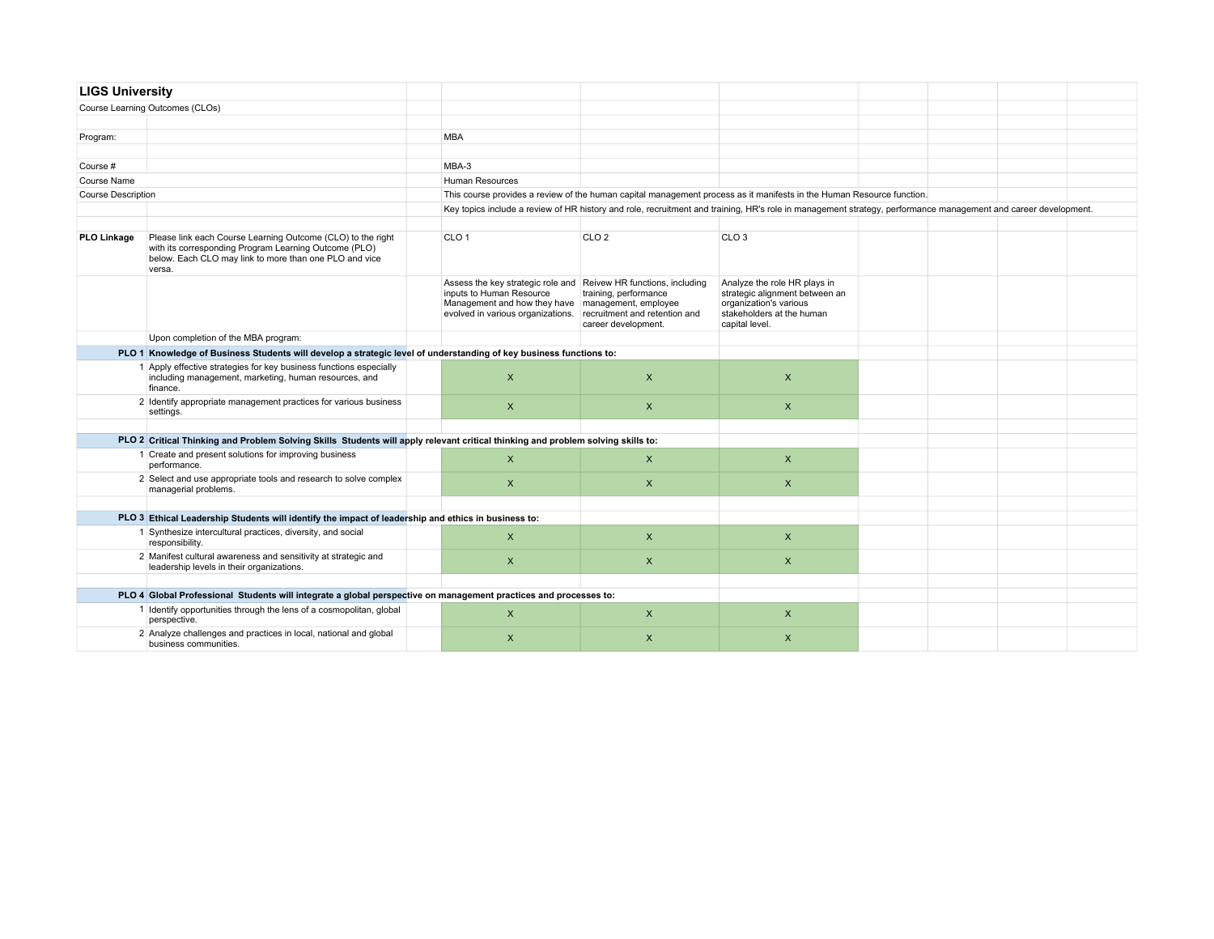|                           | <b>LIGS University</b>                                                                                                                                                                   |  |                                                                                                                                                                                          |                                                                               |                                                                                                                                                                |  |  |
|---------------------------|------------------------------------------------------------------------------------------------------------------------------------------------------------------------------------------|--|------------------------------------------------------------------------------------------------------------------------------------------------------------------------------------------|-------------------------------------------------------------------------------|----------------------------------------------------------------------------------------------------------------------------------------------------------------|--|--|
|                           | Course Learning Outcomes (CLOs)                                                                                                                                                          |  |                                                                                                                                                                                          |                                                                               |                                                                                                                                                                |  |  |
|                           |                                                                                                                                                                                          |  |                                                                                                                                                                                          |                                                                               |                                                                                                                                                                |  |  |
| Program:                  |                                                                                                                                                                                          |  | <b>MBA</b>                                                                                                                                                                               |                                                                               |                                                                                                                                                                |  |  |
|                           |                                                                                                                                                                                          |  |                                                                                                                                                                                          |                                                                               |                                                                                                                                                                |  |  |
| Course #                  |                                                                                                                                                                                          |  | MBA-3                                                                                                                                                                                    |                                                                               |                                                                                                                                                                |  |  |
| Course Name               |                                                                                                                                                                                          |  | Human Resources                                                                                                                                                                          |                                                                               |                                                                                                                                                                |  |  |
| <b>Course Description</b> |                                                                                                                                                                                          |  |                                                                                                                                                                                          |                                                                               | This course provides a review of the human capital management process as it manifests in the Human Resource function.                                          |  |  |
|                           |                                                                                                                                                                                          |  |                                                                                                                                                                                          |                                                                               | Key topics include a review of HR history and role, recruitment and training, HR's role in management strategy, performance management and career development. |  |  |
|                           |                                                                                                                                                                                          |  |                                                                                                                                                                                          |                                                                               |                                                                                                                                                                |  |  |
| <b>PLO Linkage</b>        | Please link each Course Learning Outcome (CLO) to the right<br>with its corresponding Program Learning Outcome (PLO)<br>below. Each CLO may link to more than one PLO and vice<br>versa. |  | CLO <sub>1</sub>                                                                                                                                                                         | CLO <sub>2</sub>                                                              | CLO <sub>3</sub>                                                                                                                                               |  |  |
|                           |                                                                                                                                                                                          |  | Assess the key strategic role and Reivew HR functions, including<br>inputs to Human Resource<br>Management and how they have   management, employee<br>evolved in various organizations. | training, performance<br>recruitment and retention and<br>career development. | Analyze the role HR plays in<br>strategic alignment between an<br>organization's various<br>stakeholders at the human<br>capital level.                        |  |  |
|                           | Upon completion of the MBA program:                                                                                                                                                      |  |                                                                                                                                                                                          |                                                                               |                                                                                                                                                                |  |  |
|                           | PLO 1 Knowledge of Business Students will develop a strategic level of understanding of key business functions to:                                                                       |  |                                                                                                                                                                                          |                                                                               |                                                                                                                                                                |  |  |
|                           | 1 Apply effective strategies for key business functions especially<br>including management, marketing, human resources, and<br>finance.                                                  |  | $\mathsf{X}$                                                                                                                                                                             | $\mathsf{x}$                                                                  | $\mathsf{X}$                                                                                                                                                   |  |  |
|                           | 2 Identify appropriate management practices for various business<br>settings.                                                                                                            |  | $\mathsf{x}$                                                                                                                                                                             | $\mathsf{X}$                                                                  | $\mathsf{x}$                                                                                                                                                   |  |  |
|                           |                                                                                                                                                                                          |  |                                                                                                                                                                                          |                                                                               |                                                                                                                                                                |  |  |
|                           | PLO 2 Critical Thinking and Problem Solving Skills Students will apply relevant critical thinking and problem solving skills to:                                                         |  |                                                                                                                                                                                          |                                                                               |                                                                                                                                                                |  |  |
|                           | 1 Create and present solutions for improving business<br>performance.                                                                                                                    |  | $\pmb{\times}$                                                                                                                                                                           | $\mathsf{x}$                                                                  | $\pmb{\times}$                                                                                                                                                 |  |  |
|                           | 2 Select and use appropriate tools and research to solve complex<br>managerial problems.                                                                                                 |  | $\mathsf{x}$                                                                                                                                                                             | $\mathsf{x}$                                                                  | $\mathsf{x}$                                                                                                                                                   |  |  |
|                           |                                                                                                                                                                                          |  |                                                                                                                                                                                          |                                                                               |                                                                                                                                                                |  |  |
|                           | PLO 3 Ethical Leadership Students will identify the impact of leadership and ethics in business to:                                                                                      |  |                                                                                                                                                                                          |                                                                               |                                                                                                                                                                |  |  |
|                           | 1 Synthesize intercultural practices, diversity, and social<br>responsibility.                                                                                                           |  | $\times$                                                                                                                                                                                 | $\mathsf{X}$                                                                  | $\mathsf{X}$                                                                                                                                                   |  |  |
|                           | 2 Manifest cultural awareness and sensitivity at strategic and<br>leadership levels in their organizations.                                                                              |  | $\pmb{\times}$                                                                                                                                                                           | $\mathsf{X}$                                                                  | $\pmb{\times}$                                                                                                                                                 |  |  |
|                           |                                                                                                                                                                                          |  |                                                                                                                                                                                          |                                                                               |                                                                                                                                                                |  |  |
|                           | PLO 4 Global Professional Students will integrate a global perspective on management practices and processes to:                                                                         |  |                                                                                                                                                                                          |                                                                               |                                                                                                                                                                |  |  |
|                           | 1 Identify opportunities through the lens of a cosmopolitan, global<br>perspective.                                                                                                      |  | $\times$                                                                                                                                                                                 | X                                                                             | $\mathsf{X}$                                                                                                                                                   |  |  |
|                           | 2 Analyze challenges and practices in local, national and global<br>business communities.                                                                                                |  | $\mathsf{X}$                                                                                                                                                                             | $\mathsf{x}$                                                                  | $\pmb{\times}$                                                                                                                                                 |  |  |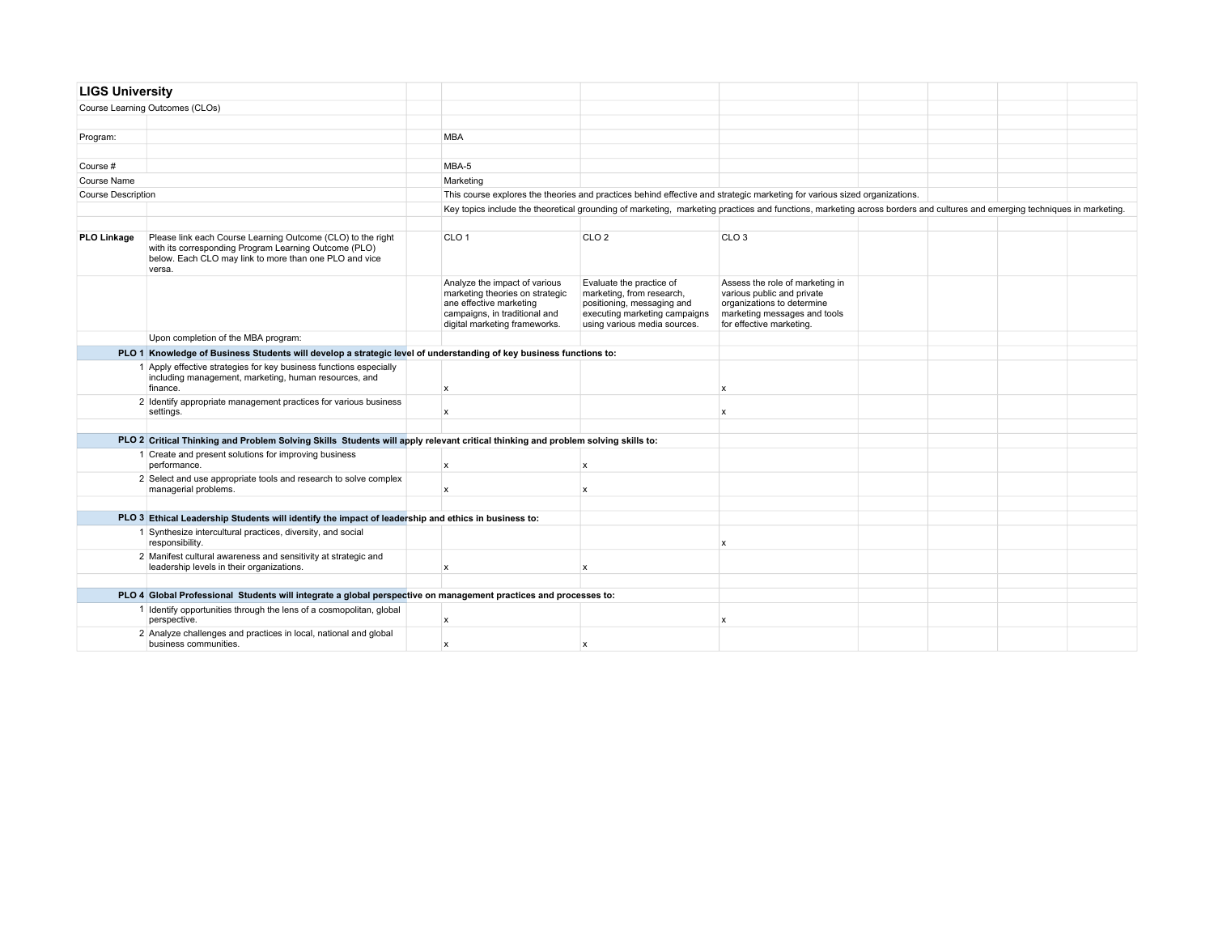| <b>LIGS University</b> |                                                                                                                                                                                          |                                                                                                                                                               |                                                                                                                                                      |                                                                                                                                                                           |  |  |
|------------------------|------------------------------------------------------------------------------------------------------------------------------------------------------------------------------------------|---------------------------------------------------------------------------------------------------------------------------------------------------------------|------------------------------------------------------------------------------------------------------------------------------------------------------|---------------------------------------------------------------------------------------------------------------------------------------------------------------------------|--|--|
|                        | Course Learning Outcomes (CLOs)                                                                                                                                                          |                                                                                                                                                               |                                                                                                                                                      |                                                                                                                                                                           |  |  |
|                        |                                                                                                                                                                                          |                                                                                                                                                               |                                                                                                                                                      |                                                                                                                                                                           |  |  |
| Program:               |                                                                                                                                                                                          | <b>MBA</b>                                                                                                                                                    |                                                                                                                                                      |                                                                                                                                                                           |  |  |
|                        |                                                                                                                                                                                          |                                                                                                                                                               |                                                                                                                                                      |                                                                                                                                                                           |  |  |
| Course #               |                                                                                                                                                                                          | MBA-5                                                                                                                                                         |                                                                                                                                                      |                                                                                                                                                                           |  |  |
| Course Name            |                                                                                                                                                                                          | Marketing                                                                                                                                                     |                                                                                                                                                      |                                                                                                                                                                           |  |  |
| Course Description     |                                                                                                                                                                                          |                                                                                                                                                               |                                                                                                                                                      | This course explores the theories and practices behind effective and strategic marketing for various sized organizations.                                                 |  |  |
|                        |                                                                                                                                                                                          |                                                                                                                                                               |                                                                                                                                                      | Key topics include the theoretical grounding of marketing, marketing practices and functions, marketing across borders and cultures and emerging techniques in marketing. |  |  |
|                        |                                                                                                                                                                                          |                                                                                                                                                               |                                                                                                                                                      |                                                                                                                                                                           |  |  |
| PLO Linkage            | Please link each Course Learning Outcome (CLO) to the right<br>with its corresponding Program Learning Outcome (PLO)<br>below. Each CLO may link to more than one PLO and vice<br>versa. | CLO <sub>1</sub>                                                                                                                                              | CLO <sub>2</sub>                                                                                                                                     | CLO <sub>3</sub>                                                                                                                                                          |  |  |
|                        |                                                                                                                                                                                          | Analyze the impact of various<br>marketing theories on strategic<br>ane effective marketing<br>campaigns, in traditional and<br>digital marketing frameworks. | Evaluate the practice of<br>marketing, from research,<br>positioning, messaging and<br>executing marketing campaigns<br>using various media sources. | Assess the role of marketing in<br>various public and private<br>organizations to determine<br>marketing messages and tools<br>for effective marketing.                   |  |  |
|                        | Upon completion of the MBA program:                                                                                                                                                      |                                                                                                                                                               |                                                                                                                                                      |                                                                                                                                                                           |  |  |
|                        | PLO 1 Knowledge of Business Students will develop a strategic level of understanding of key business functions to:                                                                       |                                                                                                                                                               |                                                                                                                                                      |                                                                                                                                                                           |  |  |
|                        | 1 Apply effective strategies for key business functions especially<br>including management, marketing, human resources, and<br>finance.                                                  | $\boldsymbol{\mathsf{x}}$                                                                                                                                     |                                                                                                                                                      | $\boldsymbol{\mathsf{x}}$                                                                                                                                                 |  |  |
|                        | 2 Identify appropriate management practices for various business<br>settings.                                                                                                            | X                                                                                                                                                             |                                                                                                                                                      | $\mathsf{x}$                                                                                                                                                              |  |  |
|                        |                                                                                                                                                                                          |                                                                                                                                                               |                                                                                                                                                      |                                                                                                                                                                           |  |  |
|                        | PLO 2 Critical Thinking and Problem Solving Skills Students will apply relevant critical thinking and problem solving skills to:                                                         |                                                                                                                                                               |                                                                                                                                                      |                                                                                                                                                                           |  |  |
|                        | 1 Create and present solutions for improving business<br>performance.                                                                                                                    | $\pmb{\mathsf{x}}$                                                                                                                                            | X                                                                                                                                                    |                                                                                                                                                                           |  |  |
|                        | 2 Select and use appropriate tools and research to solve complex<br>managerial problems.                                                                                                 | $\mathbf x$                                                                                                                                                   | $\mathbf{x}$                                                                                                                                         |                                                                                                                                                                           |  |  |
|                        |                                                                                                                                                                                          |                                                                                                                                                               |                                                                                                                                                      |                                                                                                                                                                           |  |  |
|                        | PLO 3 Ethical Leadership Students will identify the impact of leadership and ethics in business to:                                                                                      |                                                                                                                                                               |                                                                                                                                                      |                                                                                                                                                                           |  |  |
|                        | 1 Synthesize intercultural practices, diversity, and social<br>responsibility.                                                                                                           |                                                                                                                                                               |                                                                                                                                                      | $\mathsf{x}$                                                                                                                                                              |  |  |
|                        | 2 Manifest cultural awareness and sensitivity at strategic and<br>leadership levels in their organizations.                                                                              | $\mathsf{x}$                                                                                                                                                  | $\boldsymbol{x}$                                                                                                                                     |                                                                                                                                                                           |  |  |
|                        |                                                                                                                                                                                          |                                                                                                                                                               |                                                                                                                                                      |                                                                                                                                                                           |  |  |
|                        | PLO 4 Global Professional Students will integrate a global perspective on management practices and processes to:                                                                         |                                                                                                                                                               |                                                                                                                                                      |                                                                                                                                                                           |  |  |
|                        | 1 Identify opportunities through the lens of a cosmopolitan, global<br>perspective.                                                                                                      | $\pmb{\mathsf{x}}$                                                                                                                                            |                                                                                                                                                      | $\mathsf{x}$                                                                                                                                                              |  |  |
|                        | 2 Analyze challenges and practices in local, national and global<br>business communities.                                                                                                | $\mathsf{x}$                                                                                                                                                  | $\boldsymbol{\mathsf{x}}$                                                                                                                            |                                                                                                                                                                           |  |  |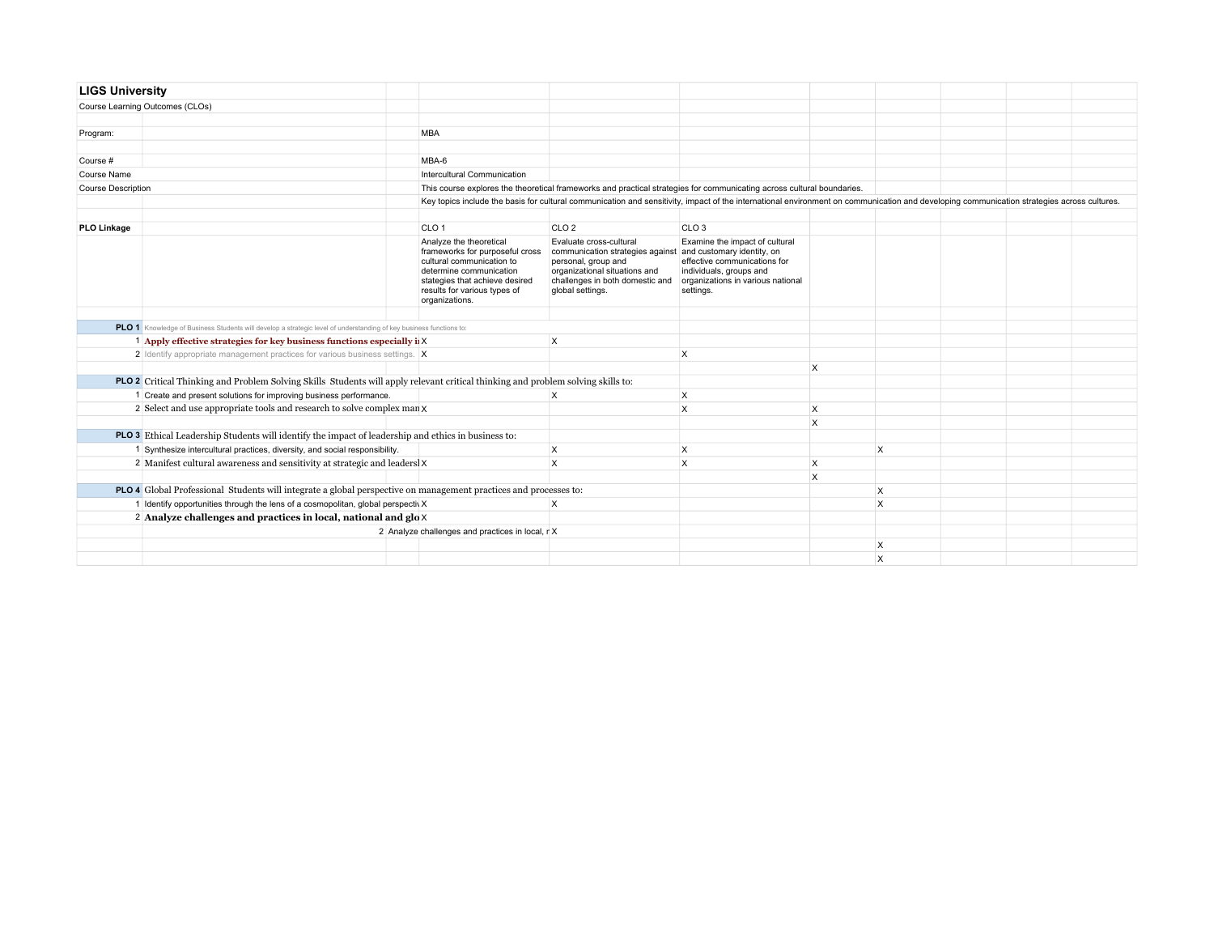| <b>LIGS University</b>    |                                                                                                                                  |                                                                                                                                                                                                        |                                                                                                                                                                                            |                                                                                                                                                                           |   |          |  |  |
|---------------------------|----------------------------------------------------------------------------------------------------------------------------------|--------------------------------------------------------------------------------------------------------------------------------------------------------------------------------------------------------|--------------------------------------------------------------------------------------------------------------------------------------------------------------------------------------------|---------------------------------------------------------------------------------------------------------------------------------------------------------------------------|---|----------|--|--|
|                           | Course Learning Outcomes (CLOs)                                                                                                  |                                                                                                                                                                                                        |                                                                                                                                                                                            |                                                                                                                                                                           |   |          |  |  |
|                           |                                                                                                                                  |                                                                                                                                                                                                        |                                                                                                                                                                                            |                                                                                                                                                                           |   |          |  |  |
| Program:                  |                                                                                                                                  | <b>MBA</b>                                                                                                                                                                                             |                                                                                                                                                                                            |                                                                                                                                                                           |   |          |  |  |
|                           |                                                                                                                                  |                                                                                                                                                                                                        |                                                                                                                                                                                            |                                                                                                                                                                           |   |          |  |  |
| Course #                  |                                                                                                                                  | MBA-6                                                                                                                                                                                                  |                                                                                                                                                                                            |                                                                                                                                                                           |   |          |  |  |
| Course Name               |                                                                                                                                  | Intercultural Communication                                                                                                                                                                            |                                                                                                                                                                                            |                                                                                                                                                                           |   |          |  |  |
| <b>Course Description</b> |                                                                                                                                  |                                                                                                                                                                                                        | This course explores the theoretical frameworks and practical strategies for communicating across cultural boundaries.                                                                     |                                                                                                                                                                           |   |          |  |  |
|                           |                                                                                                                                  |                                                                                                                                                                                                        | Key topics include the basis for cultural communication and sensitivity, impact of the international environment on communication and developing communication strategies across cultures. |                                                                                                                                                                           |   |          |  |  |
|                           |                                                                                                                                  |                                                                                                                                                                                                        |                                                                                                                                                                                            |                                                                                                                                                                           |   |          |  |  |
| <b>PLO Linkage</b>        |                                                                                                                                  | CLO <sub>1</sub>                                                                                                                                                                                       | CLO <sub>2</sub>                                                                                                                                                                           | CLO <sub>3</sub>                                                                                                                                                          |   |          |  |  |
|                           |                                                                                                                                  | Analyze the theoretical<br>frameworks for purposeful cross<br>cultural communication to<br>determine communication<br>stategies that achieve desired<br>results for various types of<br>organizations. | Evaluate cross-cultural<br>communication strategies against<br>personal, group and<br>organizational situations and<br>challenges in both domestic and<br>global settings.                 | Examine the impact of cultural<br>and customary identity, on<br>effective communications for<br>individuals, groups and<br>organizations in various national<br>settings. |   |          |  |  |
|                           | PLO 1 Knowledge of Business Students will develop a strategic level of understanding of key business functions to:               |                                                                                                                                                                                                        |                                                                                                                                                                                            |                                                                                                                                                                           |   |          |  |  |
|                           | 1 Apply effective strategies for key business functions especially if $X$                                                        |                                                                                                                                                                                                        | $\boldsymbol{\mathsf{X}}$                                                                                                                                                                  |                                                                                                                                                                           |   |          |  |  |
|                           | 2 Identify appropriate management practices for various business settings. X                                                     |                                                                                                                                                                                                        |                                                                                                                                                                                            | X                                                                                                                                                                         |   |          |  |  |
|                           |                                                                                                                                  |                                                                                                                                                                                                        |                                                                                                                                                                                            |                                                                                                                                                                           | X |          |  |  |
|                           | PLO 2 Critical Thinking and Problem Solving Skills Students will apply relevant critical thinking and problem solving skills to: |                                                                                                                                                                                                        |                                                                                                                                                                                            |                                                                                                                                                                           |   |          |  |  |
|                           | 1 Create and present solutions for improving business performance.                                                               |                                                                                                                                                                                                        | $\times$                                                                                                                                                                                   | X                                                                                                                                                                         |   |          |  |  |
|                           | 2 Select and use appropriate tools and research to solve complex man X                                                           |                                                                                                                                                                                                        |                                                                                                                                                                                            | X                                                                                                                                                                         | X |          |  |  |
|                           |                                                                                                                                  |                                                                                                                                                                                                        |                                                                                                                                                                                            |                                                                                                                                                                           | X |          |  |  |
|                           | <b>PLO 3</b> Ethical Leadership Students will identify the impact of leadership and ethics in business to:                       |                                                                                                                                                                                                        |                                                                                                                                                                                            |                                                                                                                                                                           |   |          |  |  |
|                           | 1 Synthesize intercultural practices, diversity, and social responsibility.                                                      |                                                                                                                                                                                                        | $\times$                                                                                                                                                                                   | X                                                                                                                                                                         |   | $\times$ |  |  |
|                           | 2 Manifest cultural awareness and sensitivity at strategic and leadersl X                                                        |                                                                                                                                                                                                        | $\times$                                                                                                                                                                                   | X                                                                                                                                                                         | X |          |  |  |
|                           |                                                                                                                                  |                                                                                                                                                                                                        |                                                                                                                                                                                            |                                                                                                                                                                           | X |          |  |  |
|                           | PLO 4 Global Professional Students will integrate a global perspective on management practices and processes to:                 |                                                                                                                                                                                                        |                                                                                                                                                                                            |                                                                                                                                                                           |   | $\times$ |  |  |
|                           | 1 Identify opportunities through the lens of a cosmopolitan, global perspectiv X                                                 |                                                                                                                                                                                                        | $\times$                                                                                                                                                                                   |                                                                                                                                                                           |   | $\times$ |  |  |
|                           | 2 Analyze challenges and practices in local, national and $g \circ \theta$                                                       |                                                                                                                                                                                                        |                                                                                                                                                                                            |                                                                                                                                                                           |   |          |  |  |
|                           | 2 Analyze challenges and practices in local, r X                                                                                 |                                                                                                                                                                                                        |                                                                                                                                                                                            |                                                                                                                                                                           |   |          |  |  |
|                           |                                                                                                                                  |                                                                                                                                                                                                        |                                                                                                                                                                                            |                                                                                                                                                                           |   | X        |  |  |
|                           |                                                                                                                                  |                                                                                                                                                                                                        |                                                                                                                                                                                            |                                                                                                                                                                           |   | X        |  |  |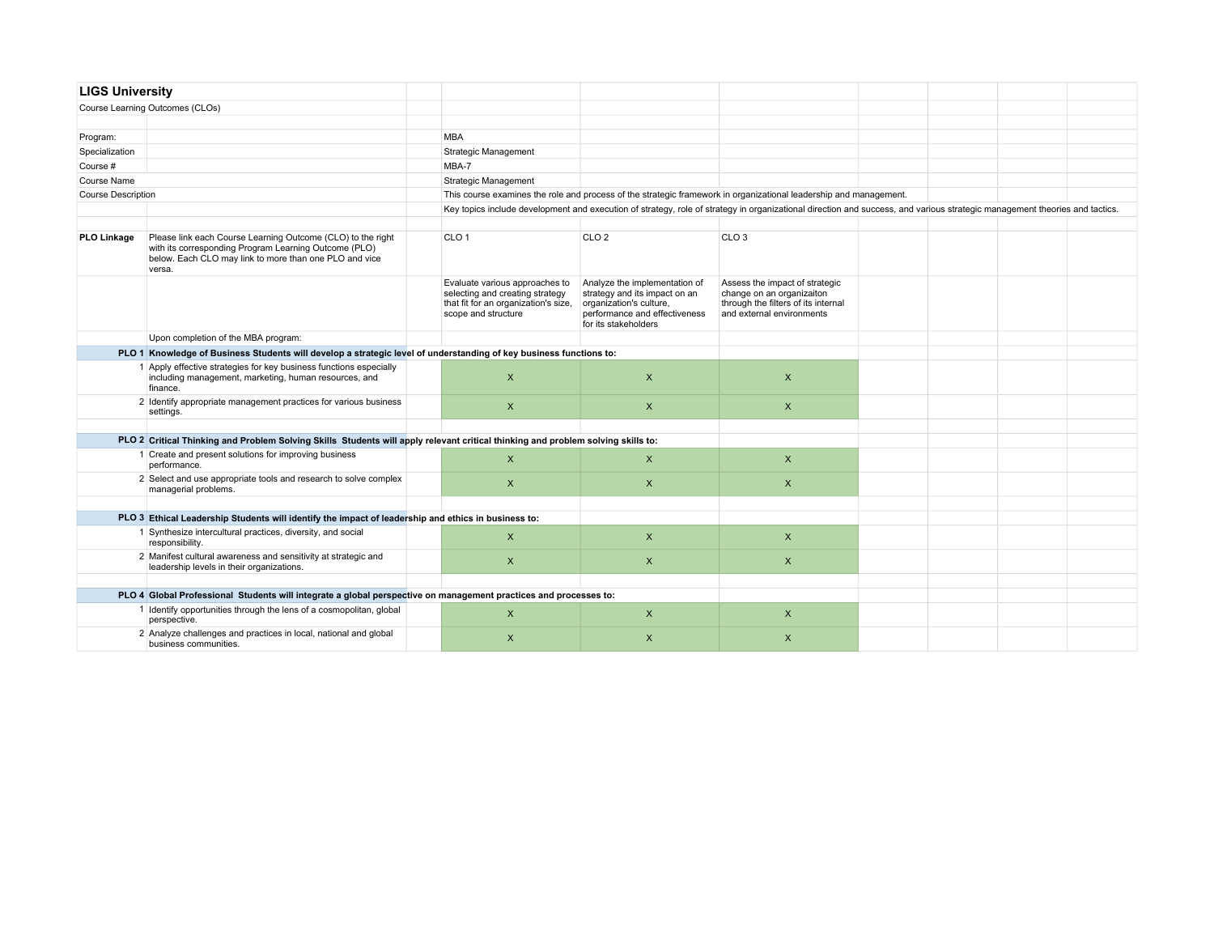| <b>LIGS University</b>    |                                                                                                                                                                                          |                                                                                                                                  |                                                                                                                                                    |                                                                                                                                                                            |  |  |
|---------------------------|------------------------------------------------------------------------------------------------------------------------------------------------------------------------------------------|----------------------------------------------------------------------------------------------------------------------------------|----------------------------------------------------------------------------------------------------------------------------------------------------|----------------------------------------------------------------------------------------------------------------------------------------------------------------------------|--|--|
|                           | Course Learning Outcomes (CLOs)                                                                                                                                                          |                                                                                                                                  |                                                                                                                                                    |                                                                                                                                                                            |  |  |
|                           |                                                                                                                                                                                          |                                                                                                                                  |                                                                                                                                                    |                                                                                                                                                                            |  |  |
| Program:                  |                                                                                                                                                                                          | <b>MBA</b>                                                                                                                       |                                                                                                                                                    |                                                                                                                                                                            |  |  |
| Specialization            |                                                                                                                                                                                          | Strategic Management                                                                                                             |                                                                                                                                                    |                                                                                                                                                                            |  |  |
| Course #                  |                                                                                                                                                                                          | MBA-7                                                                                                                            |                                                                                                                                                    |                                                                                                                                                                            |  |  |
| Course Name               |                                                                                                                                                                                          | Strategic Management                                                                                                             |                                                                                                                                                    |                                                                                                                                                                            |  |  |
| <b>Course Description</b> |                                                                                                                                                                                          |                                                                                                                                  |                                                                                                                                                    | This course examines the role and process of the strategic framework in organizational leadership and management.                                                          |  |  |
|                           |                                                                                                                                                                                          |                                                                                                                                  |                                                                                                                                                    | Key topics include development and execution of strategy, role of strategy in organizational direction and success, and various strategic management theories and tactics. |  |  |
|                           |                                                                                                                                                                                          |                                                                                                                                  |                                                                                                                                                    |                                                                                                                                                                            |  |  |
| <b>PLO Linkage</b>        | Please link each Course Learning Outcome (CLO) to the right<br>with its corresponding Program Learning Outcome (PLO)<br>below. Each CLO may link to more than one PLO and vice<br>versa. | CLO <sub>1</sub>                                                                                                                 | CLO <sub>2</sub>                                                                                                                                   | CLO <sub>3</sub>                                                                                                                                                           |  |  |
|                           |                                                                                                                                                                                          | Evaluate various approaches to<br>selecting and creating strategy<br>that fit for an organization's size,<br>scope and structure | Analyze the implementation of<br>strategy and its impact on an<br>organization's culture,<br>performance and effectiveness<br>for its stakeholders | Assess the impact of strategic<br>change on an organizaiton<br>through the filters of its internal<br>and external environments                                            |  |  |
|                           | Upon completion of the MBA program:                                                                                                                                                      |                                                                                                                                  |                                                                                                                                                    |                                                                                                                                                                            |  |  |
|                           | PLO 1 Knowledge of Business Students will develop a strategic level of understanding of key business functions to:                                                                       |                                                                                                                                  |                                                                                                                                                    |                                                                                                                                                                            |  |  |
|                           | 1 Apply effective strategies for key business functions especially<br>including management, marketing, human resources, and<br>finance.                                                  | $\mathsf{x}$                                                                                                                     | $\mathsf{x}$                                                                                                                                       | $\times$                                                                                                                                                                   |  |  |
|                           | 2 Identify appropriate management practices for various business<br>settings.                                                                                                            | $\mathsf{x}$                                                                                                                     | $\mathsf{x}$                                                                                                                                       | $\mathsf{X}$                                                                                                                                                               |  |  |
|                           |                                                                                                                                                                                          |                                                                                                                                  |                                                                                                                                                    |                                                                                                                                                                            |  |  |
|                           | PLO 2 Critical Thinking and Problem Solving Skills Students will apply relevant critical thinking and problem solving skills to:                                                         |                                                                                                                                  |                                                                                                                                                    |                                                                                                                                                                            |  |  |
|                           | 1 Create and present solutions for improving business<br>performance.                                                                                                                    | $\pmb{\times}$                                                                                                                   | $\mathsf{x}$                                                                                                                                       | $\pmb{\times}$                                                                                                                                                             |  |  |
|                           | 2 Select and use appropriate tools and research to solve complex<br>managerial problems.                                                                                                 | $\mathsf{x}$                                                                                                                     | $\pmb{\times}$                                                                                                                                     | $\mathsf{x}$                                                                                                                                                               |  |  |
|                           |                                                                                                                                                                                          |                                                                                                                                  |                                                                                                                                                    |                                                                                                                                                                            |  |  |
|                           | PLO 3 Ethical Leadership Students will identify the impact of leadership and ethics in business to:                                                                                      |                                                                                                                                  |                                                                                                                                                    |                                                                                                                                                                            |  |  |
|                           | 1 Synthesize intercultural practices, diversity, and social<br>responsibility.                                                                                                           | $\pmb{\times}$                                                                                                                   | $\times$                                                                                                                                           | $\pmb{\times}$                                                                                                                                                             |  |  |
|                           | 2 Manifest cultural awareness and sensitivity at strategic and<br>leadership levels in their organizations.                                                                              | X                                                                                                                                | X                                                                                                                                                  | X                                                                                                                                                                          |  |  |
|                           |                                                                                                                                                                                          |                                                                                                                                  |                                                                                                                                                    |                                                                                                                                                                            |  |  |
|                           | PLO 4 Global Professional Students will integrate a global perspective on management practices and processes to:                                                                         |                                                                                                                                  |                                                                                                                                                    |                                                                                                                                                                            |  |  |
|                           | 1 Identify opportunities through the lens of a cosmopolitan, global<br>perspective.                                                                                                      | X                                                                                                                                | $\boldsymbol{\mathsf{X}}$                                                                                                                          | X                                                                                                                                                                          |  |  |
|                           | 2 Analyze challenges and practices in local, national and global<br>business communities.                                                                                                | $\pmb{\times}$                                                                                                                   | $\pmb{\times}$                                                                                                                                     | $\pmb{\times}$                                                                                                                                                             |  |  |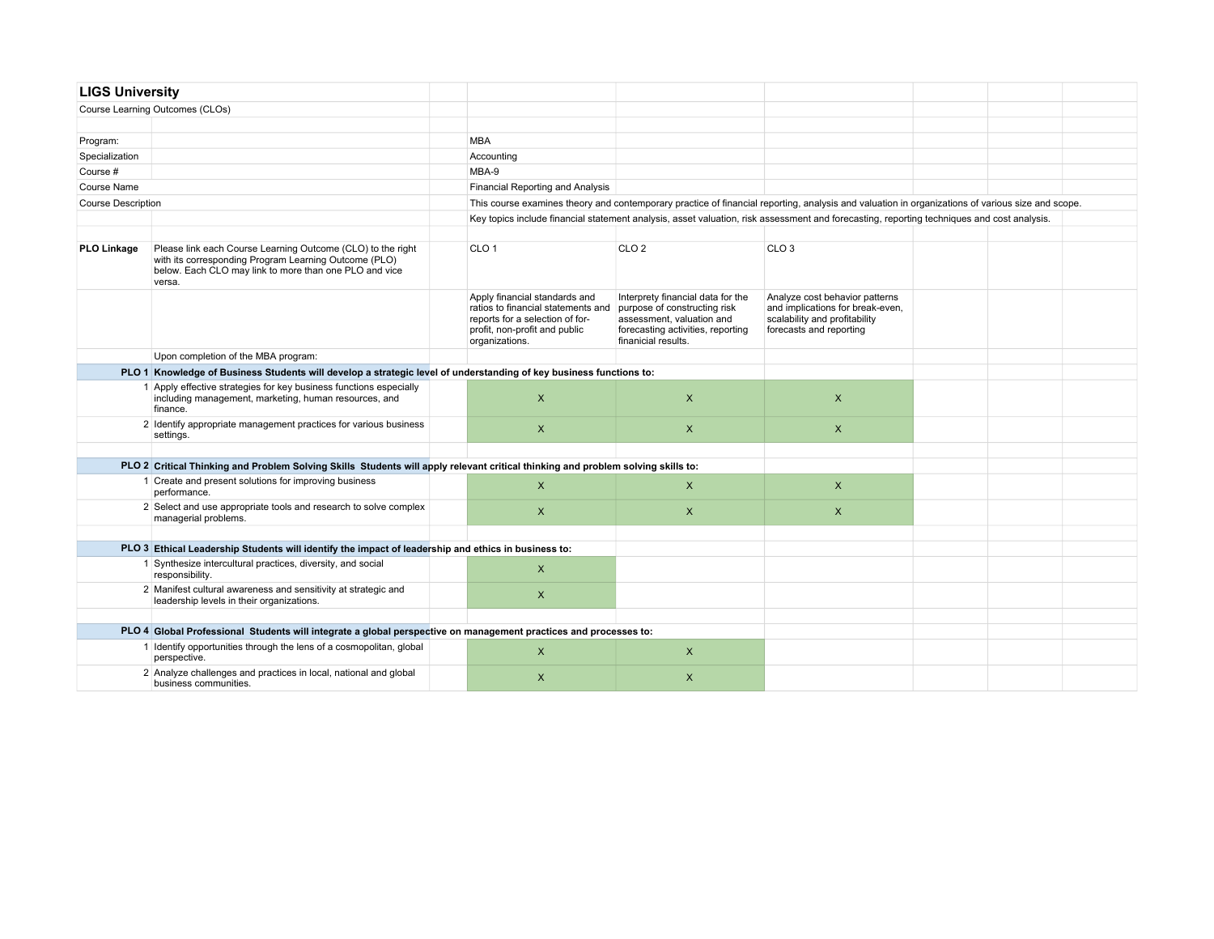| <b>LIGS University</b>    |                                                                                                                                                                                          |                                                                                                                                                           |                                                                                                                                                            |                                                                                                                                                  |  |  |
|---------------------------|------------------------------------------------------------------------------------------------------------------------------------------------------------------------------------------|-----------------------------------------------------------------------------------------------------------------------------------------------------------|------------------------------------------------------------------------------------------------------------------------------------------------------------|--------------------------------------------------------------------------------------------------------------------------------------------------|--|--|
|                           | Course Learning Outcomes (CLOs)                                                                                                                                                          |                                                                                                                                                           |                                                                                                                                                            |                                                                                                                                                  |  |  |
|                           |                                                                                                                                                                                          |                                                                                                                                                           |                                                                                                                                                            |                                                                                                                                                  |  |  |
| Program:                  |                                                                                                                                                                                          | <b>MBA</b>                                                                                                                                                |                                                                                                                                                            |                                                                                                                                                  |  |  |
| Specialization            |                                                                                                                                                                                          | Accounting                                                                                                                                                |                                                                                                                                                            |                                                                                                                                                  |  |  |
| Course #                  |                                                                                                                                                                                          | MBA-9                                                                                                                                                     |                                                                                                                                                            |                                                                                                                                                  |  |  |
| <b>Course Name</b>        |                                                                                                                                                                                          | <b>Financial Reporting and Analysis</b>                                                                                                                   |                                                                                                                                                            |                                                                                                                                                  |  |  |
| <b>Course Description</b> |                                                                                                                                                                                          |                                                                                                                                                           |                                                                                                                                                            | This course examines theory and contemporary practice of financial reporting, analysis and valuation in organizations of various size and scope. |  |  |
|                           |                                                                                                                                                                                          |                                                                                                                                                           |                                                                                                                                                            | Key topics include financial statement analysis, asset valuation, risk assessment and forecasting, reporting techniques and cost analysis.       |  |  |
|                           |                                                                                                                                                                                          |                                                                                                                                                           |                                                                                                                                                            |                                                                                                                                                  |  |  |
| PLO Linkage               | Please link each Course Learning Outcome (CLO) to the right<br>with its corresponding Program Learning Outcome (PLO)<br>below. Each CLO may link to more than one PLO and vice<br>versa. | CLO <sub>1</sub>                                                                                                                                          | CLO <sub>2</sub>                                                                                                                                           | CLO <sub>3</sub>                                                                                                                                 |  |  |
|                           |                                                                                                                                                                                          | Apply financial standards and<br>ratios to financial statements and<br>reports for a selection of for-<br>profit, non-profit and public<br>organizations. | Interprety financial data for the<br>purpose of constructing risk<br>assessment, valuation and<br>forecasting activities, reporting<br>finanicial results. | Analyze cost behavior patterns<br>and implications for break-even,<br>scalability and profitability<br>forecasts and reporting                   |  |  |
|                           | Upon completion of the MBA program:                                                                                                                                                      |                                                                                                                                                           |                                                                                                                                                            |                                                                                                                                                  |  |  |
|                           | PLO 1 Knowledge of Business Students will develop a strategic level of understanding of key business functions to:                                                                       |                                                                                                                                                           |                                                                                                                                                            |                                                                                                                                                  |  |  |
|                           | 1 Apply effective strategies for key business functions especially<br>including management, marketing, human resources, and<br>finance.                                                  | $\boldsymbol{\mathsf{X}}$                                                                                                                                 | $\pmb{\times}$                                                                                                                                             | $\times$                                                                                                                                         |  |  |
|                           | 2 Identify appropriate management practices for various business<br>settings.                                                                                                            | $\boldsymbol{\mathsf{X}}$                                                                                                                                 | $\mathsf{X}$                                                                                                                                               | $\mathsf{x}$                                                                                                                                     |  |  |
|                           |                                                                                                                                                                                          |                                                                                                                                                           |                                                                                                                                                            |                                                                                                                                                  |  |  |
|                           | PLO 2 Critical Thinking and Problem Solving Skills Students will apply relevant critical thinking and problem solving skills to:                                                         |                                                                                                                                                           |                                                                                                                                                            |                                                                                                                                                  |  |  |
|                           | 1 Create and present solutions for improving business<br>performance.                                                                                                                    | $\mathsf{X}$                                                                                                                                              | $\mathsf{X}$                                                                                                                                               | $\pmb{\times}$                                                                                                                                   |  |  |
|                           | 2 Select and use appropriate tools and research to solve complex<br>managerial problems.                                                                                                 | $\pmb{\chi}$                                                                                                                                              | $\mathsf{X}$                                                                                                                                               | $\pmb{\times}$                                                                                                                                   |  |  |
|                           | PLO 3 Ethical Leadership Students will identify the impact of leadership and ethics in business to:                                                                                      |                                                                                                                                                           |                                                                                                                                                            |                                                                                                                                                  |  |  |
|                           | 1 Synthesize intercultural practices, diversity, and social                                                                                                                              |                                                                                                                                                           |                                                                                                                                                            |                                                                                                                                                  |  |  |
|                           | responsibility.                                                                                                                                                                          | $\pmb{\chi}$                                                                                                                                              |                                                                                                                                                            |                                                                                                                                                  |  |  |
|                           | 2 Manifest cultural awareness and sensitivity at strategic and<br>leadership levels in their organizations.                                                                              | $\boldsymbol{\mathsf{X}}$                                                                                                                                 |                                                                                                                                                            |                                                                                                                                                  |  |  |
|                           | PLO 4 Global Professional Students will integrate a global perspective on management practices and processes to:                                                                         |                                                                                                                                                           |                                                                                                                                                            |                                                                                                                                                  |  |  |
|                           | 1 Identify opportunities through the lens of a cosmopolitan, global                                                                                                                      |                                                                                                                                                           |                                                                                                                                                            |                                                                                                                                                  |  |  |
|                           | perspective.                                                                                                                                                                             | $\mathsf{x}$                                                                                                                                              | $\mathsf{X}$                                                                                                                                               |                                                                                                                                                  |  |  |
|                           | 2 Analyze challenges and practices in local, national and global<br>business communities.                                                                                                | $\mathsf{x}$                                                                                                                                              | $\mathsf{X}$                                                                                                                                               |                                                                                                                                                  |  |  |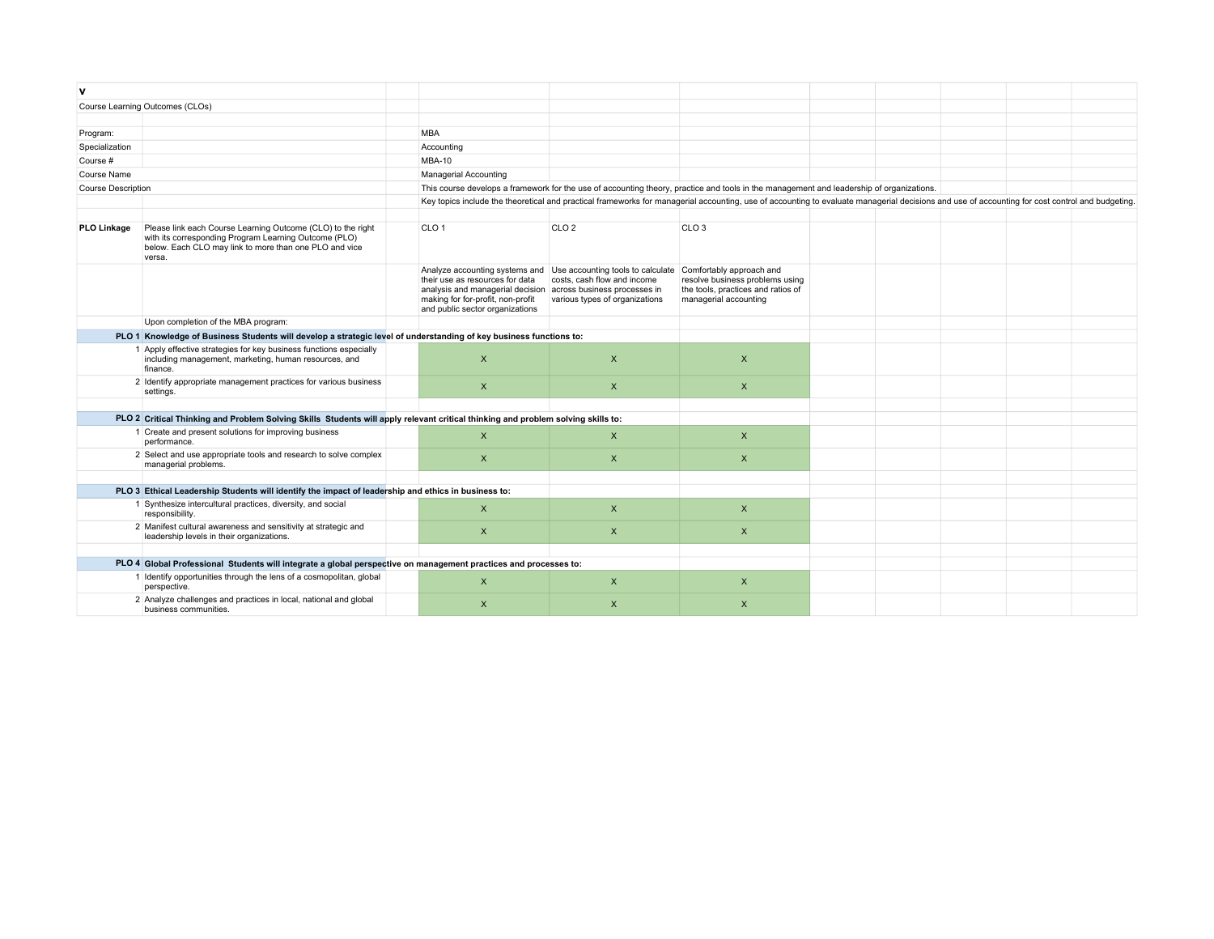| ۷                                                                                                                  |                                                                                                                                                                                          |  |                                                                                                                                                                                                |                                                                                                                                          |                                                                                                                            |  |  |  |
|--------------------------------------------------------------------------------------------------------------------|------------------------------------------------------------------------------------------------------------------------------------------------------------------------------------------|--|------------------------------------------------------------------------------------------------------------------------------------------------------------------------------------------------|------------------------------------------------------------------------------------------------------------------------------------------|----------------------------------------------------------------------------------------------------------------------------|--|--|--|
|                                                                                                                    | Course Learning Outcomes (CLOs)                                                                                                                                                          |  |                                                                                                                                                                                                |                                                                                                                                          |                                                                                                                            |  |  |  |
|                                                                                                                    |                                                                                                                                                                                          |  |                                                                                                                                                                                                |                                                                                                                                          |                                                                                                                            |  |  |  |
| Program:                                                                                                           |                                                                                                                                                                                          |  | <b>MBA</b>                                                                                                                                                                                     |                                                                                                                                          |                                                                                                                            |  |  |  |
| Specialization                                                                                                     |                                                                                                                                                                                          |  | Accounting                                                                                                                                                                                     |                                                                                                                                          |                                                                                                                            |  |  |  |
| Course #                                                                                                           |                                                                                                                                                                                          |  | <b>MBA-10</b>                                                                                                                                                                                  |                                                                                                                                          |                                                                                                                            |  |  |  |
| Course Name                                                                                                        |                                                                                                                                                                                          |  | Managerial Accounting                                                                                                                                                                          |                                                                                                                                          |                                                                                                                            |  |  |  |
| <b>Course Description</b>                                                                                          |                                                                                                                                                                                          |  |                                                                                                                                                                                                | This course develops a framework for the use of accounting theory, practice and tools in the management and leadership of organizations. |                                                                                                                            |  |  |  |
|                                                                                                                    |                                                                                                                                                                                          |  | Key topics include the theoretical and practical frameworks for managerial accounting, use of accounting to evaluate managerial decisions and use of accounting for cost control and budgeting |                                                                                                                                          |                                                                                                                            |  |  |  |
|                                                                                                                    |                                                                                                                                                                                          |  |                                                                                                                                                                                                |                                                                                                                                          |                                                                                                                            |  |  |  |
| <b>PLO Linkage</b>                                                                                                 | Please link each Course Learning Outcome (CLO) to the right<br>with its corresponding Program Learning Outcome (PLO)<br>below. Each CLO may link to more than one PLO and vice<br>versa. |  | CLO <sub>1</sub>                                                                                                                                                                               | CLO <sub>2</sub>                                                                                                                         | CLO <sub>3</sub>                                                                                                           |  |  |  |
|                                                                                                                    |                                                                                                                                                                                          |  | their use as resources for data<br>analysis and managerial decision across business processes in<br>making for for-profit, non-profit<br>and public sector organizations                       | Analyze accounting systems and Use accounting tools to calculate<br>costs, cash flow and income<br>various types of organizations        | Comfortably approach and<br>resolve business problems using<br>the tools, practices and ratios of<br>managerial accounting |  |  |  |
|                                                                                                                    | Upon completion of the MBA program:                                                                                                                                                      |  |                                                                                                                                                                                                |                                                                                                                                          |                                                                                                                            |  |  |  |
| PLO 1 Knowledge of Business Students will develop a strategic level of understanding of key business functions to: |                                                                                                                                                                                          |  |                                                                                                                                                                                                |                                                                                                                                          |                                                                                                                            |  |  |  |
|                                                                                                                    | 1 Apply effective strategies for key business functions especially<br>including management, marketing, human resources, and<br>finance.                                                  |  | $\times$                                                                                                                                                                                       | $\mathsf{x}$                                                                                                                             | X                                                                                                                          |  |  |  |
|                                                                                                                    | 2 Identify appropriate management practices for various business<br>settings.                                                                                                            |  | $\boldsymbol{\mathsf{X}}$                                                                                                                                                                      | $\pmb{\times}$                                                                                                                           | $\mathsf{x}$                                                                                                               |  |  |  |
|                                                                                                                    |                                                                                                                                                                                          |  |                                                                                                                                                                                                |                                                                                                                                          |                                                                                                                            |  |  |  |
|                                                                                                                    | PLO 2 Critical Thinking and Problem Solving Skills Students will apply relevant critical thinking and problem solving skills to:                                                         |  |                                                                                                                                                                                                |                                                                                                                                          |                                                                                                                            |  |  |  |
|                                                                                                                    | 1 Create and present solutions for improving business<br>performance.                                                                                                                    |  | $\mathsf{x}$                                                                                                                                                                                   | $\mathsf{x}$                                                                                                                             | $\mathsf{x}$                                                                                                               |  |  |  |
|                                                                                                                    | 2 Select and use appropriate tools and research to solve complex<br>managerial problems.                                                                                                 |  | $\times$                                                                                                                                                                                       | $\mathsf{x}$                                                                                                                             | $\mathsf{X}$                                                                                                               |  |  |  |
|                                                                                                                    |                                                                                                                                                                                          |  |                                                                                                                                                                                                |                                                                                                                                          |                                                                                                                            |  |  |  |
|                                                                                                                    | PLO 3 Ethical Leadership Students will identify the impact of leadership and ethics in business to:                                                                                      |  |                                                                                                                                                                                                |                                                                                                                                          |                                                                                                                            |  |  |  |
|                                                                                                                    | 1 Synthesize intercultural practices, diversity, and social<br>responsibility.                                                                                                           |  | $\times$                                                                                                                                                                                       | $\times$                                                                                                                                 | X                                                                                                                          |  |  |  |
|                                                                                                                    | 2 Manifest cultural awareness and sensitivity at strategic and<br>leadership levels in their organizations.                                                                              |  | $\boldsymbol{\mathsf{X}}$                                                                                                                                                                      | $\mathsf{x}$                                                                                                                             | $\mathsf{x}$                                                                                                               |  |  |  |
|                                                                                                                    | PLO 4 Global Professional Students will integrate a global perspective on management practices and processes to:                                                                         |  |                                                                                                                                                                                                |                                                                                                                                          |                                                                                                                            |  |  |  |
|                                                                                                                    | 1 Identify opportunities through the lens of a cosmopolitan, global                                                                                                                      |  |                                                                                                                                                                                                |                                                                                                                                          |                                                                                                                            |  |  |  |
|                                                                                                                    | perspective.                                                                                                                                                                             |  | $\boldsymbol{\mathsf{X}}$                                                                                                                                                                      | X                                                                                                                                        | X                                                                                                                          |  |  |  |
|                                                                                                                    | 2 Analyze challenges and practices in local, national and global<br>business communities.                                                                                                |  | $\times$                                                                                                                                                                                       | $\mathsf{x}$                                                                                                                             | $\pmb{\times}$                                                                                                             |  |  |  |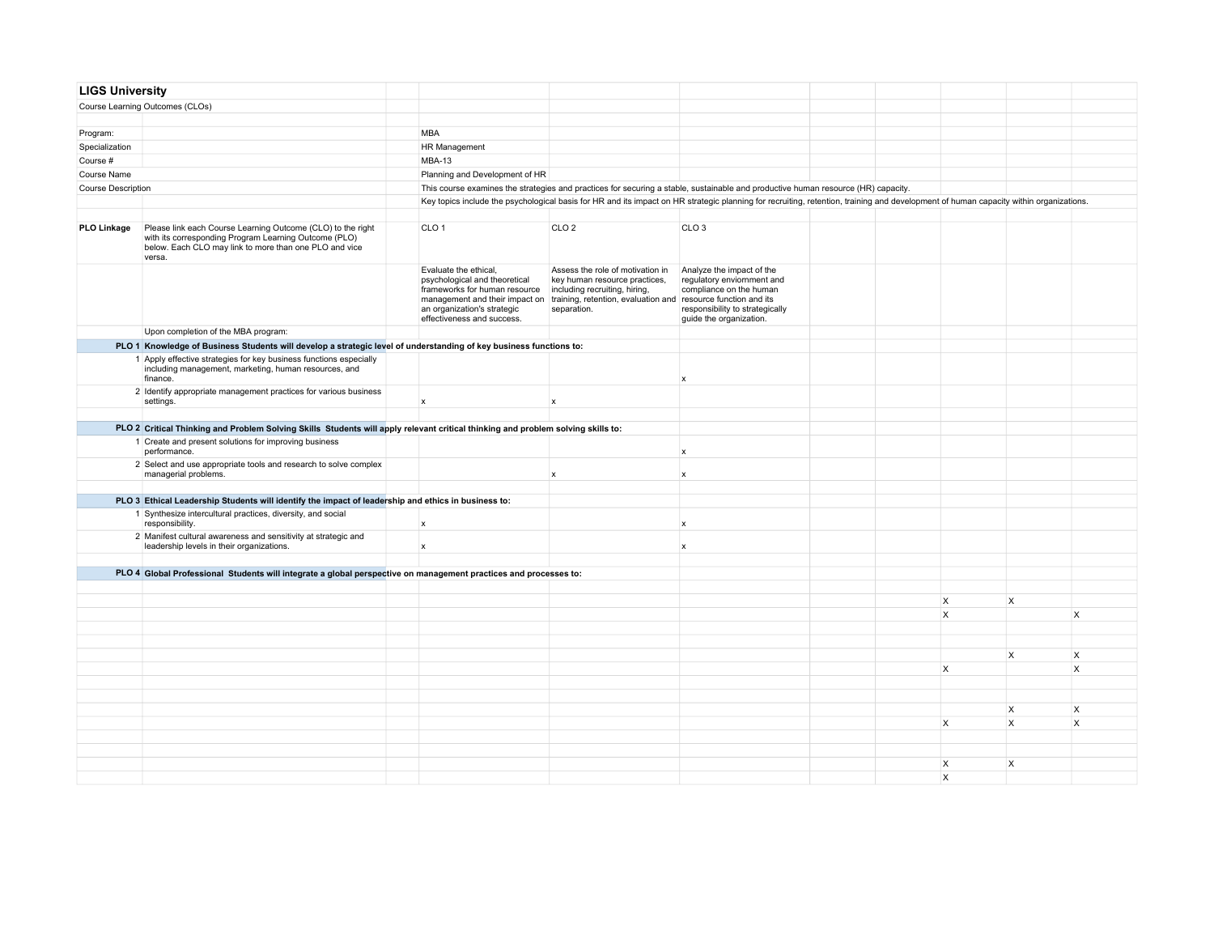| <b>LIGS University</b>    |                                                                                                                                                                                          |                                                                                                                                                      |                                                                                                                                                                                                                   |                                                                                                                                                                                       |  |                                     |   |              |
|---------------------------|------------------------------------------------------------------------------------------------------------------------------------------------------------------------------------------|------------------------------------------------------------------------------------------------------------------------------------------------------|-------------------------------------------------------------------------------------------------------------------------------------------------------------------------------------------------------------------|---------------------------------------------------------------------------------------------------------------------------------------------------------------------------------------|--|-------------------------------------|---|--------------|
|                           | Course Learning Outcomes (CLOs)                                                                                                                                                          |                                                                                                                                                      |                                                                                                                                                                                                                   |                                                                                                                                                                                       |  |                                     |   |              |
|                           |                                                                                                                                                                                          |                                                                                                                                                      |                                                                                                                                                                                                                   |                                                                                                                                                                                       |  |                                     |   |              |
| Program:                  |                                                                                                                                                                                          | <b>MBA</b>                                                                                                                                           |                                                                                                                                                                                                                   |                                                                                                                                                                                       |  |                                     |   |              |
| Specialization            |                                                                                                                                                                                          | <b>HR Management</b>                                                                                                                                 |                                                                                                                                                                                                                   |                                                                                                                                                                                       |  |                                     |   |              |
| Course #                  |                                                                                                                                                                                          | <b>MBA-13</b>                                                                                                                                        |                                                                                                                                                                                                                   |                                                                                                                                                                                       |  |                                     |   |              |
| Course Name               |                                                                                                                                                                                          | Planning and Development of HR                                                                                                                       |                                                                                                                                                                                                                   |                                                                                                                                                                                       |  |                                     |   |              |
| <b>Course Description</b> |                                                                                                                                                                                          |                                                                                                                                                      |                                                                                                                                                                                                                   | This course examines the strategies and practices for securing a stable, sustainable and productive human resource (HR) capacity.                                                     |  |                                     |   |              |
|                           |                                                                                                                                                                                          |                                                                                                                                                      |                                                                                                                                                                                                                   | Key topics include the psychological basis for HR and its impact on HR strategic planning for recruiting, retention, training and development of human capacity within organizations. |  |                                     |   |              |
|                           |                                                                                                                                                                                          |                                                                                                                                                      |                                                                                                                                                                                                                   |                                                                                                                                                                                       |  |                                     |   |              |
| PLO Linkage               | Please link each Course Learning Outcome (CLO) to the right<br>with its corresponding Program Learning Outcome (PLO)<br>below. Each CLO may link to more than one PLO and vice<br>versa. | CLO <sub>1</sub>                                                                                                                                     | CLO <sub>2</sub>                                                                                                                                                                                                  | CLO <sub>3</sub>                                                                                                                                                                      |  |                                     |   |              |
|                           |                                                                                                                                                                                          | Evaluate the ethical,<br>psychological and theoretical<br>frameworks for human resource<br>an organization's strategic<br>effectiveness and success. | Assess the role of motivation in<br>key human resource practices,<br>including recruiting, hiring,<br>management and their impact on training, retention, evaluation and resource function and its<br>separation. | Analyze the impact of the<br>regulatory enviornment and<br>compliance on the human<br>responsibility to strategically<br>guide the organization.                                      |  |                                     |   |              |
|                           | Upon completion of the MBA program:                                                                                                                                                      |                                                                                                                                                      |                                                                                                                                                                                                                   |                                                                                                                                                                                       |  |                                     |   |              |
|                           | PLO 1 Knowledge of Business Students will develop a strategic level of understanding of key business functions to:                                                                       |                                                                                                                                                      |                                                                                                                                                                                                                   |                                                                                                                                                                                       |  |                                     |   |              |
|                           | 1 Apply effective strategies for key business functions especially<br>including management, marketing, human resources, and<br>finance.                                                  |                                                                                                                                                      |                                                                                                                                                                                                                   | $\mathsf{x}$                                                                                                                                                                          |  |                                     |   |              |
|                           | 2 Identify appropriate management practices for various business<br>settings.                                                                                                            | $\boldsymbol{\mathsf{x}}$                                                                                                                            | $\boldsymbol{x}$                                                                                                                                                                                                  |                                                                                                                                                                                       |  |                                     |   |              |
|                           |                                                                                                                                                                                          |                                                                                                                                                      |                                                                                                                                                                                                                   |                                                                                                                                                                                       |  |                                     |   |              |
|                           | PLO 2 Critical Thinking and Problem Solving Skills Students will apply relevant critical thinking and problem solving skills to:                                                         |                                                                                                                                                      |                                                                                                                                                                                                                   |                                                                                                                                                                                       |  |                                     |   |              |
|                           | 1 Create and present solutions for improving business<br>performance.                                                                                                                    |                                                                                                                                                      |                                                                                                                                                                                                                   | x                                                                                                                                                                                     |  |                                     |   |              |
|                           | 2 Select and use appropriate tools and research to solve complex<br>managerial problems.                                                                                                 |                                                                                                                                                      | $\boldsymbol{x}$                                                                                                                                                                                                  | $\mathbf{x}$                                                                                                                                                                          |  |                                     |   |              |
|                           |                                                                                                                                                                                          |                                                                                                                                                      |                                                                                                                                                                                                                   |                                                                                                                                                                                       |  |                                     |   |              |
|                           | PLO 3 Ethical Leadership Students will identify the impact of leadership and ethics in business to:                                                                                      |                                                                                                                                                      |                                                                                                                                                                                                                   |                                                                                                                                                                                       |  |                                     |   |              |
|                           | 1 Synthesize intercultural practices, diversity, and social<br>responsibility.                                                                                                           | X                                                                                                                                                    |                                                                                                                                                                                                                   | $\mathsf{x}$                                                                                                                                                                          |  |                                     |   |              |
|                           | 2 Manifest cultural awareness and sensitivity at strategic and<br>leadership levels in their organizations.                                                                              | X                                                                                                                                                    |                                                                                                                                                                                                                   | $\mathsf{x}$                                                                                                                                                                          |  |                                     |   |              |
|                           |                                                                                                                                                                                          |                                                                                                                                                      |                                                                                                                                                                                                                   |                                                                                                                                                                                       |  |                                     |   |              |
|                           | PLO 4 Global Professional Students will integrate a global perspective on management practices and processes to:                                                                         |                                                                                                                                                      |                                                                                                                                                                                                                   |                                                                                                                                                                                       |  |                                     |   |              |
|                           |                                                                                                                                                                                          |                                                                                                                                                      |                                                                                                                                                                                                                   |                                                                                                                                                                                       |  |                                     |   |              |
|                           |                                                                                                                                                                                          |                                                                                                                                                      |                                                                                                                                                                                                                   |                                                                                                                                                                                       |  | $\times$<br>$\overline{\mathsf{x}}$ | X |              |
|                           |                                                                                                                                                                                          |                                                                                                                                                      |                                                                                                                                                                                                                   |                                                                                                                                                                                       |  |                                     |   | <b>X</b>     |
|                           |                                                                                                                                                                                          |                                                                                                                                                      |                                                                                                                                                                                                                   |                                                                                                                                                                                       |  |                                     |   |              |
|                           |                                                                                                                                                                                          |                                                                                                                                                      |                                                                                                                                                                                                                   |                                                                                                                                                                                       |  |                                     |   |              |
|                           |                                                                                                                                                                                          |                                                                                                                                                      |                                                                                                                                                                                                                   |                                                                                                                                                                                       |  |                                     | X | $\mathsf{X}$ |
|                           |                                                                                                                                                                                          |                                                                                                                                                      |                                                                                                                                                                                                                   |                                                                                                                                                                                       |  | $\mathsf{X}$                        |   | $\mathsf{x}$ |
|                           |                                                                                                                                                                                          |                                                                                                                                                      |                                                                                                                                                                                                                   |                                                                                                                                                                                       |  |                                     |   |              |
|                           |                                                                                                                                                                                          |                                                                                                                                                      |                                                                                                                                                                                                                   |                                                                                                                                                                                       |  |                                     |   |              |
|                           |                                                                                                                                                                                          |                                                                                                                                                      |                                                                                                                                                                                                                   |                                                                                                                                                                                       |  |                                     | X | $\mathsf{X}$ |
|                           |                                                                                                                                                                                          |                                                                                                                                                      |                                                                                                                                                                                                                   |                                                                                                                                                                                       |  | $\mathsf{x}$                        | X | $\mathsf{x}$ |
|                           |                                                                                                                                                                                          |                                                                                                                                                      |                                                                                                                                                                                                                   |                                                                                                                                                                                       |  |                                     |   |              |
|                           |                                                                                                                                                                                          |                                                                                                                                                      |                                                                                                                                                                                                                   |                                                                                                                                                                                       |  |                                     |   |              |
|                           |                                                                                                                                                                                          |                                                                                                                                                      |                                                                                                                                                                                                                   |                                                                                                                                                                                       |  | $\mathsf{X}$                        | X |              |
|                           |                                                                                                                                                                                          |                                                                                                                                                      |                                                                                                                                                                                                                   |                                                                                                                                                                                       |  | $\overline{\mathsf{x}}$             |   |              |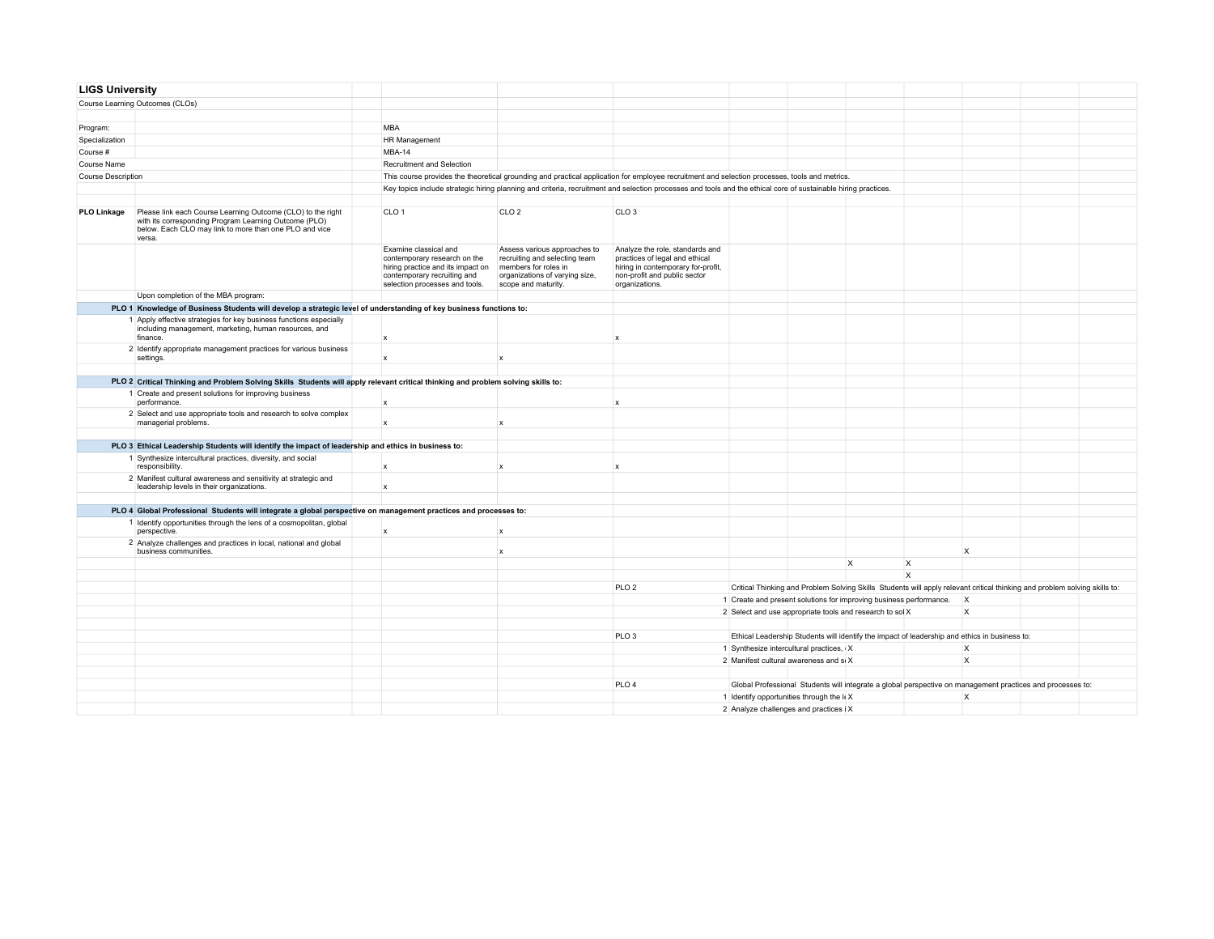| <b>LIGS University</b> |                                                                                                                                                                                          |                                                                                        |                                                                   |                                                                                                                                                |                                                                                                                                                                |  |                                                                                                                            |                         |              |  |  |
|------------------------|------------------------------------------------------------------------------------------------------------------------------------------------------------------------------------------|----------------------------------------------------------------------------------------|-------------------------------------------------------------------|------------------------------------------------------------------------------------------------------------------------------------------------|----------------------------------------------------------------------------------------------------------------------------------------------------------------|--|----------------------------------------------------------------------------------------------------------------------------|-------------------------|--------------|--|--|
|                        | Course Learning Outcomes (CLOs)                                                                                                                                                          |                                                                                        |                                                                   |                                                                                                                                                |                                                                                                                                                                |  |                                                                                                                            |                         |              |  |  |
|                        |                                                                                                                                                                                          |                                                                                        |                                                                   |                                                                                                                                                |                                                                                                                                                                |  |                                                                                                                            |                         |              |  |  |
| Program:               |                                                                                                                                                                                          | <b>MBA</b>                                                                             |                                                                   |                                                                                                                                                |                                                                                                                                                                |  |                                                                                                                            |                         |              |  |  |
| Specialization         |                                                                                                                                                                                          | HR Management                                                                          |                                                                   |                                                                                                                                                |                                                                                                                                                                |  |                                                                                                                            |                         |              |  |  |
| Course #               |                                                                                                                                                                                          | MBA-14                                                                                 |                                                                   |                                                                                                                                                |                                                                                                                                                                |  |                                                                                                                            |                         |              |  |  |
| Course Name            |                                                                                                                                                                                          | Recruitment and Selection                                                              |                                                                   |                                                                                                                                                |                                                                                                                                                                |  |                                                                                                                            |                         |              |  |  |
| Course Description     |                                                                                                                                                                                          |                                                                                        |                                                                   |                                                                                                                                                | This course provides the theoretical grounding and practical application for employee recruitment and selection processes, tools and metrics.                  |  |                                                                                                                            |                         |              |  |  |
|                        |                                                                                                                                                                                          |                                                                                        |                                                                   |                                                                                                                                                | Key topics include strategic hiring planning and criteria, recruitment and selection processes and tools and the ethical core of sustainable hiring practices. |  |                                                                                                                            |                         |              |  |  |
|                        |                                                                                                                                                                                          |                                                                                        |                                                                   |                                                                                                                                                |                                                                                                                                                                |  |                                                                                                                            |                         |              |  |  |
| <b>PLO Linkage</b>     | Please link each Course Learning Outcome (CLO) to the right<br>with its corresponding Program Learning Outcome (PLO)<br>below. Each CLO may link to more than one PLO and vice<br>versa. | CLO <sub>1</sub>                                                                       |                                                                   | CIO2                                                                                                                                           | CLO <sub>3</sub>                                                                                                                                               |  |                                                                                                                            |                         |              |  |  |
|                        |                                                                                                                                                                                          | Examine classical and<br>contemporary recruiting and<br>selection processes and tools. | contemporary research on the<br>hiring practice and its impact on | Assess various approaches to<br>recruiting and selecting team<br>members for roles in<br>organizations of varying size,<br>scope and maturity. | Analyze the role, standards and<br>practices of legal and ethical<br>hiring in contemporary for-profit,<br>non-profit and public sector<br>organizations.      |  |                                                                                                                            |                         |              |  |  |
|                        | Upon completion of the MBA program:                                                                                                                                                      |                                                                                        |                                                                   |                                                                                                                                                |                                                                                                                                                                |  |                                                                                                                            |                         |              |  |  |
|                        | PLO 1 Knowledge of Business Students will develop a strategic level of understanding of key business functions to:                                                                       |                                                                                        |                                                                   |                                                                                                                                                |                                                                                                                                                                |  |                                                                                                                            |                         |              |  |  |
|                        | 1 Apply effective strategies for key business functions especially<br>including management, marketing, human resources, and<br>finance.                                                  | $\mathbf{x}$                                                                           |                                                                   |                                                                                                                                                | $\mathbf{x}$                                                                                                                                                   |  |                                                                                                                            |                         |              |  |  |
|                        | 2 Identify appropriate management practices for various business<br>settings.                                                                                                            |                                                                                        |                                                                   | $\mathbf x$                                                                                                                                    |                                                                                                                                                                |  |                                                                                                                            |                         |              |  |  |
|                        |                                                                                                                                                                                          |                                                                                        |                                                                   |                                                                                                                                                |                                                                                                                                                                |  |                                                                                                                            |                         |              |  |  |
|                        | PLO 2 Critical Thinking and Problem Solving Skills Students will apply relevant critical thinking and problem solving skills to:                                                         |                                                                                        |                                                                   |                                                                                                                                                |                                                                                                                                                                |  |                                                                                                                            |                         |              |  |  |
|                        | 1 Create and present solutions for improving business                                                                                                                                    |                                                                                        |                                                                   |                                                                                                                                                |                                                                                                                                                                |  |                                                                                                                            |                         |              |  |  |
|                        | performance.                                                                                                                                                                             | $\mathbf{x}$                                                                           |                                                                   |                                                                                                                                                | $\mathbf{x}$                                                                                                                                                   |  |                                                                                                                            |                         |              |  |  |
|                        | 2 Select and use appropriate tools and research to solve complex<br>managerial problems.                                                                                                 | $\mathbf{x}$                                                                           |                                                                   | $\mathbf{x}$                                                                                                                                   |                                                                                                                                                                |  |                                                                                                                            |                         |              |  |  |
|                        | PLO 3 Ethical Leadership Students will identify the impact of leadership and ethics in business to:                                                                                      |                                                                                        |                                                                   |                                                                                                                                                |                                                                                                                                                                |  |                                                                                                                            |                         |              |  |  |
|                        | 1 Synthesize intercultural practices, diversity, and social                                                                                                                              |                                                                                        |                                                                   |                                                                                                                                                |                                                                                                                                                                |  |                                                                                                                            |                         |              |  |  |
|                        | responsibility.                                                                                                                                                                          | $\mathbf{x}$                                                                           |                                                                   | x                                                                                                                                              | $\mathsf{x}$                                                                                                                                                   |  |                                                                                                                            |                         |              |  |  |
|                        | 2 Manifest cultural awareness and sensitivity at strategic and<br>leadership levels in their organizations.                                                                              | $\mathbf{x}$                                                                           |                                                                   |                                                                                                                                                |                                                                                                                                                                |  |                                                                                                                            |                         |              |  |  |
|                        | PLO 4 Global Professional Students will integrate a global perspective on management practices and processes to:                                                                         |                                                                                        |                                                                   |                                                                                                                                                |                                                                                                                                                                |  |                                                                                                                            |                         |              |  |  |
|                        | 1 Identify opportunities through the lens of a cosmopolitan, global                                                                                                                      |                                                                                        |                                                                   |                                                                                                                                                |                                                                                                                                                                |  |                                                                                                                            |                         |              |  |  |
|                        | perspective.                                                                                                                                                                             | $\mathbf{x}$                                                                           |                                                                   | $\mathbf x$                                                                                                                                    |                                                                                                                                                                |  |                                                                                                                            |                         |              |  |  |
|                        | 2 Analyze challenges and practices in local, national and global<br>business communities.                                                                                                |                                                                                        |                                                                   | $\boldsymbol{\mathsf{x}}$                                                                                                                      |                                                                                                                                                                |  |                                                                                                                            |                         | $\mathsf{X}$ |  |  |
|                        |                                                                                                                                                                                          |                                                                                        |                                                                   |                                                                                                                                                |                                                                                                                                                                |  | $\mathsf{x}$                                                                                                               | $\mathsf{X}$            |              |  |  |
|                        |                                                                                                                                                                                          |                                                                                        |                                                                   |                                                                                                                                                |                                                                                                                                                                |  |                                                                                                                            | $\overline{\mathsf{x}}$ |              |  |  |
|                        |                                                                                                                                                                                          |                                                                                        |                                                                   |                                                                                                                                                | PLO <sub>2</sub>                                                                                                                                               |  | Critical Thinking and Problem Solving Skills Students will apply relevant critical thinking and problem solving skills to: |                         |              |  |  |
|                        |                                                                                                                                                                                          |                                                                                        |                                                                   |                                                                                                                                                |                                                                                                                                                                |  | 1 Create and present solutions for improving business performance.                                                         |                         | $\mathsf{X}$ |  |  |
|                        |                                                                                                                                                                                          |                                                                                        |                                                                   |                                                                                                                                                |                                                                                                                                                                |  | 2 Select and use appropriate tools and research to sol X                                                                   |                         | $\times$     |  |  |
|                        |                                                                                                                                                                                          |                                                                                        |                                                                   |                                                                                                                                                |                                                                                                                                                                |  |                                                                                                                            |                         |              |  |  |
|                        |                                                                                                                                                                                          |                                                                                        |                                                                   |                                                                                                                                                | PLO <sub>3</sub>                                                                                                                                               |  | Ethical Leadership Students will identify the impact of leadership and ethics in business to:                              |                         |              |  |  |
|                        |                                                                                                                                                                                          |                                                                                        |                                                                   |                                                                                                                                                |                                                                                                                                                                |  | 1 Synthesize intercultural practices, X                                                                                    |                         | $\mathsf{X}$ |  |  |
|                        |                                                                                                                                                                                          |                                                                                        |                                                                   |                                                                                                                                                |                                                                                                                                                                |  | 2 Manifest cultural awareness and so X                                                                                     |                         | $\mathsf{x}$ |  |  |
|                        |                                                                                                                                                                                          |                                                                                        |                                                                   |                                                                                                                                                |                                                                                                                                                                |  |                                                                                                                            |                         |              |  |  |
|                        |                                                                                                                                                                                          |                                                                                        |                                                                   |                                                                                                                                                | PLO <sub>4</sub>                                                                                                                                               |  | Global Professional Students will integrate a global perspective on management practices and processes to:                 |                         |              |  |  |
|                        |                                                                                                                                                                                          |                                                                                        |                                                                   |                                                                                                                                                |                                                                                                                                                                |  | 1 Identify opportunities through the k X                                                                                   |                         | $\times$     |  |  |
|                        |                                                                                                                                                                                          |                                                                                        |                                                                   |                                                                                                                                                |                                                                                                                                                                |  |                                                                                                                            |                         |              |  |  |
|                        |                                                                                                                                                                                          |                                                                                        | 2 Analyze challenges and practices i X                            |                                                                                                                                                |                                                                                                                                                                |  |                                                                                                                            |                         |              |  |  |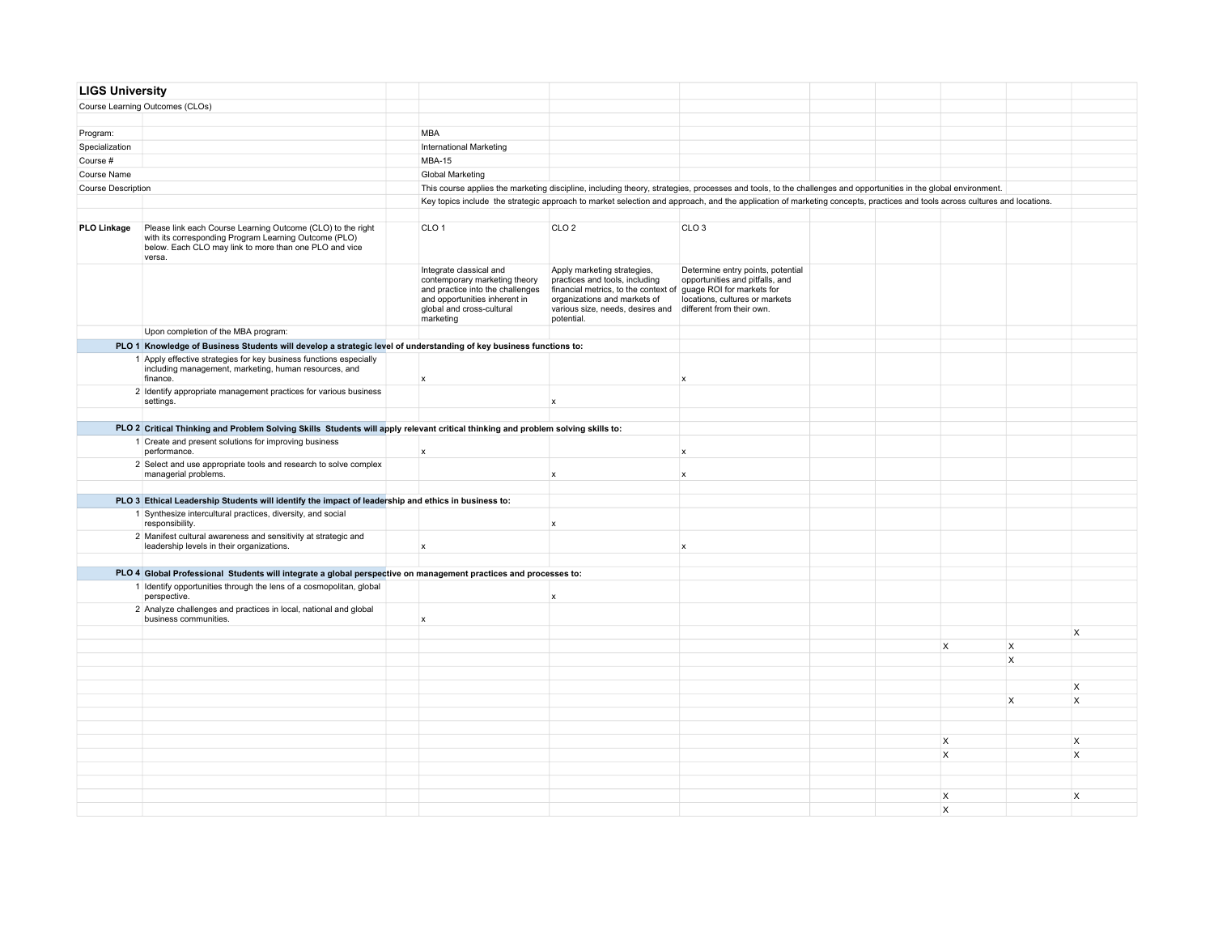| <b>LIGS University</b>    |                                                                                                                                                                                          |                                                                                                                                                                         |                                                                                                                                                                                                                   |                                                                                                                                     |  |                           |                           |              |
|---------------------------|------------------------------------------------------------------------------------------------------------------------------------------------------------------------------------------|-------------------------------------------------------------------------------------------------------------------------------------------------------------------------|-------------------------------------------------------------------------------------------------------------------------------------------------------------------------------------------------------------------|-------------------------------------------------------------------------------------------------------------------------------------|--|---------------------------|---------------------------|--------------|
|                           | Course Learning Outcomes (CLOs)                                                                                                                                                          |                                                                                                                                                                         |                                                                                                                                                                                                                   |                                                                                                                                     |  |                           |                           |              |
|                           |                                                                                                                                                                                          |                                                                                                                                                                         |                                                                                                                                                                                                                   |                                                                                                                                     |  |                           |                           |              |
| Program:                  |                                                                                                                                                                                          | <b>MBA</b>                                                                                                                                                              |                                                                                                                                                                                                                   |                                                                                                                                     |  |                           |                           |              |
| Specialization            |                                                                                                                                                                                          | <b>International Marketing</b>                                                                                                                                          |                                                                                                                                                                                                                   |                                                                                                                                     |  |                           |                           |              |
| Course #                  |                                                                                                                                                                                          | <b>MBA-15</b>                                                                                                                                                           |                                                                                                                                                                                                                   |                                                                                                                                     |  |                           |                           |              |
| Course Name               |                                                                                                                                                                                          | <b>Global Marketing</b>                                                                                                                                                 |                                                                                                                                                                                                                   |                                                                                                                                     |  |                           |                           |              |
| <b>Course Description</b> |                                                                                                                                                                                          |                                                                                                                                                                         | This course applies the marketing discipline, including theory, strategies, processes and tools, to the challenges and opportunities in the global environment.                                                   |                                                                                                                                     |  |                           |                           |              |
|                           |                                                                                                                                                                                          |                                                                                                                                                                         | Key topics include the strategic approach to market selection and approach, and the application of marketing concepts, practices and tools across cultures and locations.                                         |                                                                                                                                     |  |                           |                           |              |
|                           |                                                                                                                                                                                          |                                                                                                                                                                         |                                                                                                                                                                                                                   |                                                                                                                                     |  |                           |                           |              |
| <b>PLO Linkage</b>        | Please link each Course Learning Outcome (CLO) to the right<br>with its corresponding Program Learning Outcome (PLO)<br>below. Each CLO may link to more than one PLO and vice<br>versa. | CLO <sub>1</sub>                                                                                                                                                        | CLO <sub>2</sub>                                                                                                                                                                                                  | CLO <sub>3</sub>                                                                                                                    |  |                           |                           |              |
|                           |                                                                                                                                                                                          | Integrate classical and<br>contemporary marketing theory<br>and practice into the challenges<br>and opportunities inherent in<br>global and cross-cultural<br>marketing | Apply marketing strategies,<br>practices and tools, including<br>financial metrics, to the context of guage ROI for markets for<br>organizations and markets of<br>various size, needs, desires and<br>potential. | Determine entry points, potential<br>opportunities and pitfalls, and<br>locations, cultures or markets<br>different from their own. |  |                           |                           |              |
|                           | Upon completion of the MBA program:                                                                                                                                                      |                                                                                                                                                                         |                                                                                                                                                                                                                   |                                                                                                                                     |  |                           |                           |              |
|                           | PLO 1 Knowledge of Business Students will develop a strategic level of understanding of key business functions to:                                                                       |                                                                                                                                                                         |                                                                                                                                                                                                                   |                                                                                                                                     |  |                           |                           |              |
|                           | 1 Apply effective strategies for key business functions especially<br>including management, marketing, human resources, and<br>finance.                                                  | $\boldsymbol{x}$                                                                                                                                                        |                                                                                                                                                                                                                   | $\boldsymbol{x}$                                                                                                                    |  |                           |                           |              |
|                           | 2 Identify appropriate management practices for various business<br>settings.                                                                                                            |                                                                                                                                                                         | $\mathbf x$                                                                                                                                                                                                       |                                                                                                                                     |  |                           |                           |              |
|                           |                                                                                                                                                                                          |                                                                                                                                                                         |                                                                                                                                                                                                                   |                                                                                                                                     |  |                           |                           |              |
|                           | PLO 2 Critical Thinking and Problem Solving Skills Students will apply relevant critical thinking and problem solving skills to:                                                         |                                                                                                                                                                         |                                                                                                                                                                                                                   |                                                                                                                                     |  |                           |                           |              |
|                           | 1 Create and present solutions for improving business<br>performance.                                                                                                                    | $\mathsf{x}$                                                                                                                                                            |                                                                                                                                                                                                                   | $\mathbf{x}$                                                                                                                        |  |                           |                           |              |
|                           | 2 Select and use appropriate tools and research to solve complex<br>managerial problems.                                                                                                 |                                                                                                                                                                         | $\boldsymbol{\mathsf{x}}$                                                                                                                                                                                         | $\mathsf{x}$                                                                                                                        |  |                           |                           |              |
|                           | PLO 3 Ethical Leadership Students will identify the impact of leadership and ethics in business to:                                                                                      |                                                                                                                                                                         |                                                                                                                                                                                                                   |                                                                                                                                     |  |                           |                           |              |
|                           | 1 Synthesize intercultural practices, diversity, and social                                                                                                                              |                                                                                                                                                                         |                                                                                                                                                                                                                   |                                                                                                                                     |  |                           |                           |              |
|                           | responsibility.                                                                                                                                                                          |                                                                                                                                                                         | $\boldsymbol{x}$                                                                                                                                                                                                  |                                                                                                                                     |  |                           |                           |              |
|                           | 2 Manifest cultural awareness and sensitivity at strategic and<br>leadership levels in their organizations.                                                                              | $\boldsymbol{x}$                                                                                                                                                        |                                                                                                                                                                                                                   | $\mathsf{x}$                                                                                                                        |  |                           |                           |              |
|                           | PLO 4 Global Professional Students will integrate a global perspective on management practices and processes to:                                                                         |                                                                                                                                                                         |                                                                                                                                                                                                                   |                                                                                                                                     |  |                           |                           |              |
|                           | 1 Identify opportunities through the lens of a cosmopolitan, global                                                                                                                      |                                                                                                                                                                         |                                                                                                                                                                                                                   |                                                                                                                                     |  |                           |                           |              |
|                           | perspective.                                                                                                                                                                             |                                                                                                                                                                         | x                                                                                                                                                                                                                 |                                                                                                                                     |  |                           |                           |              |
|                           | 2 Analyze challenges and practices in local, national and global<br>business communities.                                                                                                | $\mathsf{x}$                                                                                                                                                            |                                                                                                                                                                                                                   |                                                                                                                                     |  |                           |                           |              |
|                           |                                                                                                                                                                                          |                                                                                                                                                                         |                                                                                                                                                                                                                   |                                                                                                                                     |  |                           |                           | X            |
|                           |                                                                                                                                                                                          |                                                                                                                                                                         |                                                                                                                                                                                                                   |                                                                                                                                     |  | X                         | $\times$                  |              |
|                           |                                                                                                                                                                                          |                                                                                                                                                                         |                                                                                                                                                                                                                   |                                                                                                                                     |  |                           | $\boldsymbol{\mathsf{x}}$ |              |
|                           |                                                                                                                                                                                          |                                                                                                                                                                         |                                                                                                                                                                                                                   |                                                                                                                                     |  |                           |                           |              |
|                           |                                                                                                                                                                                          |                                                                                                                                                                         |                                                                                                                                                                                                                   |                                                                                                                                     |  |                           |                           | $\mathsf{X}$ |
|                           |                                                                                                                                                                                          |                                                                                                                                                                         |                                                                                                                                                                                                                   |                                                                                                                                     |  |                           | $\times$                  | X            |
|                           |                                                                                                                                                                                          |                                                                                                                                                                         |                                                                                                                                                                                                                   |                                                                                                                                     |  |                           |                           |              |
|                           |                                                                                                                                                                                          |                                                                                                                                                                         |                                                                                                                                                                                                                   |                                                                                                                                     |  |                           |                           |              |
|                           |                                                                                                                                                                                          |                                                                                                                                                                         |                                                                                                                                                                                                                   |                                                                                                                                     |  | X                         |                           | $\times$     |
|                           |                                                                                                                                                                                          |                                                                                                                                                                         |                                                                                                                                                                                                                   |                                                                                                                                     |  | $\boldsymbol{\mathsf{x}}$ |                           | X            |
|                           |                                                                                                                                                                                          |                                                                                                                                                                         |                                                                                                                                                                                                                   |                                                                                                                                     |  |                           |                           |              |
|                           |                                                                                                                                                                                          |                                                                                                                                                                         |                                                                                                                                                                                                                   |                                                                                                                                     |  |                           |                           |              |
|                           |                                                                                                                                                                                          |                                                                                                                                                                         |                                                                                                                                                                                                                   |                                                                                                                                     |  | X<br>X                    |                           | X            |
|                           |                                                                                                                                                                                          |                                                                                                                                                                         |                                                                                                                                                                                                                   |                                                                                                                                     |  |                           |                           |              |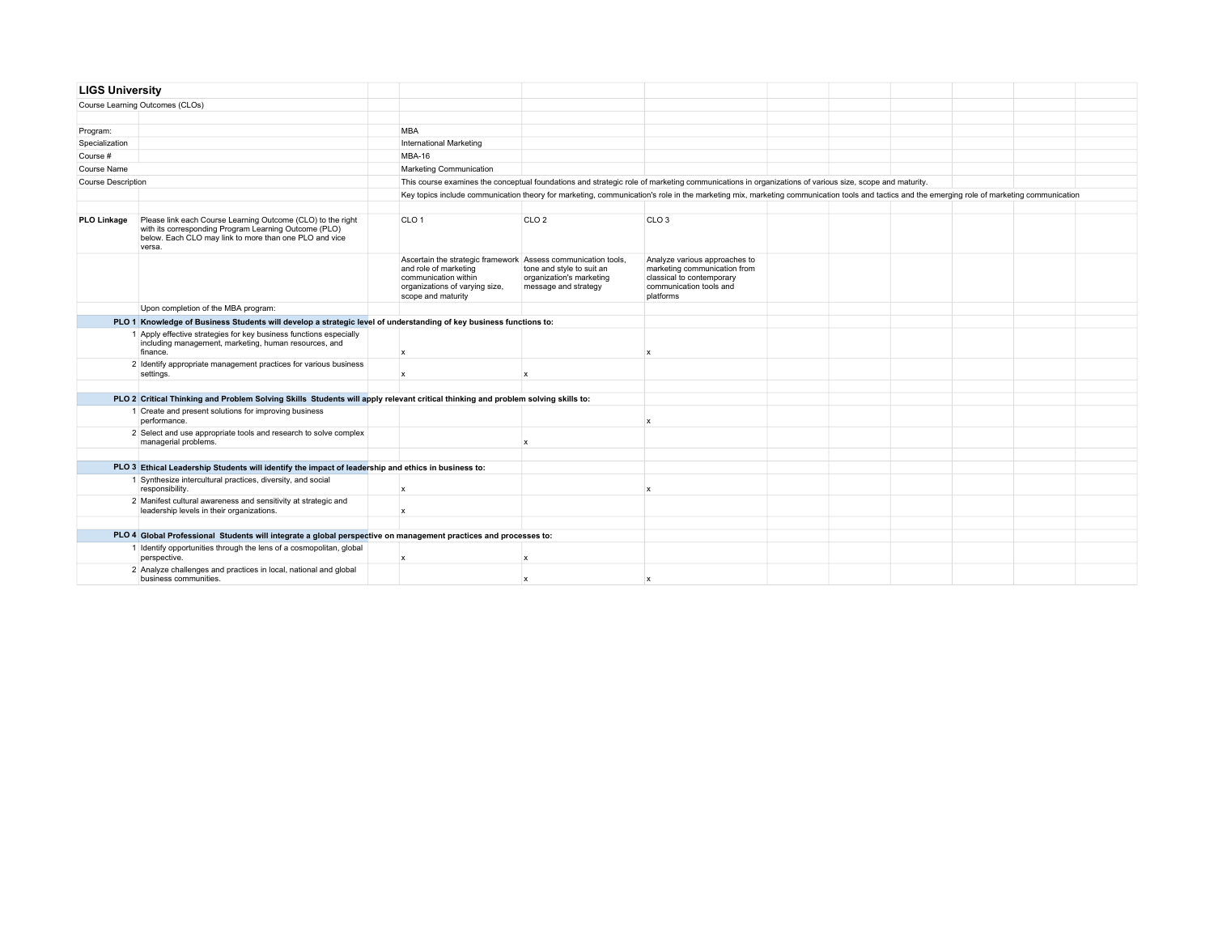| <b>LIGS University</b>    |                                                                                                                                                                                          |                                                                                                                                                                        |                                                                               |                                                                                                                                                                                              |  |  |  |  |  |  |  |
|---------------------------|------------------------------------------------------------------------------------------------------------------------------------------------------------------------------------------|------------------------------------------------------------------------------------------------------------------------------------------------------------------------|-------------------------------------------------------------------------------|----------------------------------------------------------------------------------------------------------------------------------------------------------------------------------------------|--|--|--|--|--|--|--|
|                           | Course Learning Outcomes (CLOs)                                                                                                                                                          |                                                                                                                                                                        |                                                                               |                                                                                                                                                                                              |  |  |  |  |  |  |  |
|                           |                                                                                                                                                                                          |                                                                                                                                                                        |                                                                               |                                                                                                                                                                                              |  |  |  |  |  |  |  |
| Program:                  |                                                                                                                                                                                          | <b>MBA</b>                                                                                                                                                             |                                                                               |                                                                                                                                                                                              |  |  |  |  |  |  |  |
| Specialization            |                                                                                                                                                                                          | <b>International Marketing</b>                                                                                                                                         |                                                                               |                                                                                                                                                                                              |  |  |  |  |  |  |  |
| Course #                  |                                                                                                                                                                                          | MBA-16                                                                                                                                                                 |                                                                               |                                                                                                                                                                                              |  |  |  |  |  |  |  |
| Course Name               |                                                                                                                                                                                          | Marketing Communication                                                                                                                                                |                                                                               |                                                                                                                                                                                              |  |  |  |  |  |  |  |
| <b>Course Description</b> |                                                                                                                                                                                          | This course examines the conceptual foundations and strategic role of marketing communications in organizations of various size, scope and maturity.                   |                                                                               |                                                                                                                                                                                              |  |  |  |  |  |  |  |
|                           |                                                                                                                                                                                          |                                                                                                                                                                        |                                                                               | Key topics include communication theory for marketing, communication's role in the marketing mix, marketing communication tools and tactics and the emerging role of marketing communication |  |  |  |  |  |  |  |
|                           |                                                                                                                                                                                          |                                                                                                                                                                        |                                                                               |                                                                                                                                                                                              |  |  |  |  |  |  |  |
| <b>PLO Linkage</b>        | Please link each Course Learning Outcome (CLO) to the right<br>with its corresponding Program Learning Outcome (PLO)<br>below. Each CLO may link to more than one PLO and vice<br>versa. | CLO <sub>1</sub>                                                                                                                                                       | CLO <sub>2</sub>                                                              | CLO <sub>3</sub>                                                                                                                                                                             |  |  |  |  |  |  |  |
|                           |                                                                                                                                                                                          | Ascertain the strategic framework Assess communication tools,<br>and role of marketing<br>communication within<br>organizations of varying size,<br>scope and maturity | tone and style to suit an<br>organization's marketing<br>message and strategy | Analyze various approaches to<br>marketing communication from<br>classical to contemporary<br>communication tools and<br>platforms                                                           |  |  |  |  |  |  |  |
|                           | Upon completion of the MBA program:                                                                                                                                                      |                                                                                                                                                                        |                                                                               |                                                                                                                                                                                              |  |  |  |  |  |  |  |
|                           | PLO 1 Knowledge of Business Students will develop a strategic level of understanding of key business functions to:                                                                       |                                                                                                                                                                        |                                                                               |                                                                                                                                                                                              |  |  |  |  |  |  |  |
|                           | 1 Apply effective strategies for key business functions especially<br>including management, marketing, human resources, and<br>finance.                                                  | $\mathsf{x}$                                                                                                                                                           |                                                                               | x                                                                                                                                                                                            |  |  |  |  |  |  |  |
|                           | 2 Identify appropriate management practices for various business<br>settings.                                                                                                            | $\mathsf{x}$                                                                                                                                                           | $\mathbf{x}$                                                                  |                                                                                                                                                                                              |  |  |  |  |  |  |  |
|                           |                                                                                                                                                                                          |                                                                                                                                                                        |                                                                               |                                                                                                                                                                                              |  |  |  |  |  |  |  |
|                           | PLO 2 Critical Thinking and Problem Solving Skills Students will apply relevant critical thinking and problem solving skills to:                                                         |                                                                                                                                                                        |                                                                               |                                                                                                                                                                                              |  |  |  |  |  |  |  |
|                           | 1 Create and present solutions for improving business<br>performance.                                                                                                                    |                                                                                                                                                                        |                                                                               | $\mathbf{x}$                                                                                                                                                                                 |  |  |  |  |  |  |  |
|                           | 2 Select and use appropriate tools and research to solve complex<br>managerial problems.                                                                                                 |                                                                                                                                                                        | $\boldsymbol{\mathsf{x}}$                                                     |                                                                                                                                                                                              |  |  |  |  |  |  |  |
|                           |                                                                                                                                                                                          |                                                                                                                                                                        |                                                                               |                                                                                                                                                                                              |  |  |  |  |  |  |  |
|                           | PLO 3 Ethical Leadership Students will identify the impact of leadership and ethics in business to:                                                                                      |                                                                                                                                                                        |                                                                               |                                                                                                                                                                                              |  |  |  |  |  |  |  |
|                           | 1 Synthesize intercultural practices, diversity, and social<br>responsibility.                                                                                                           | $\boldsymbol{\mathsf{x}}$                                                                                                                                              |                                                                               | x                                                                                                                                                                                            |  |  |  |  |  |  |  |
|                           | 2 Manifest cultural awareness and sensitivity at strategic and<br>leadership levels in their organizations.                                                                              | $\mathbf x$                                                                                                                                                            |                                                                               |                                                                                                                                                                                              |  |  |  |  |  |  |  |
|                           |                                                                                                                                                                                          |                                                                                                                                                                        |                                                                               |                                                                                                                                                                                              |  |  |  |  |  |  |  |
|                           | PLO 4 Global Professional Students will integrate a global perspective on management practices and processes to:                                                                         |                                                                                                                                                                        |                                                                               |                                                                                                                                                                                              |  |  |  |  |  |  |  |
|                           | 1 Identify opportunities through the lens of a cosmopolitan, global<br>perspective.                                                                                                      | $\boldsymbol{x}$                                                                                                                                                       | $\mathbf{x}$                                                                  |                                                                                                                                                                                              |  |  |  |  |  |  |  |
|                           | 2 Analyze challenges and practices in local, national and global<br>business communities.                                                                                                |                                                                                                                                                                        | $\mathbf x$                                                                   |                                                                                                                                                                                              |  |  |  |  |  |  |  |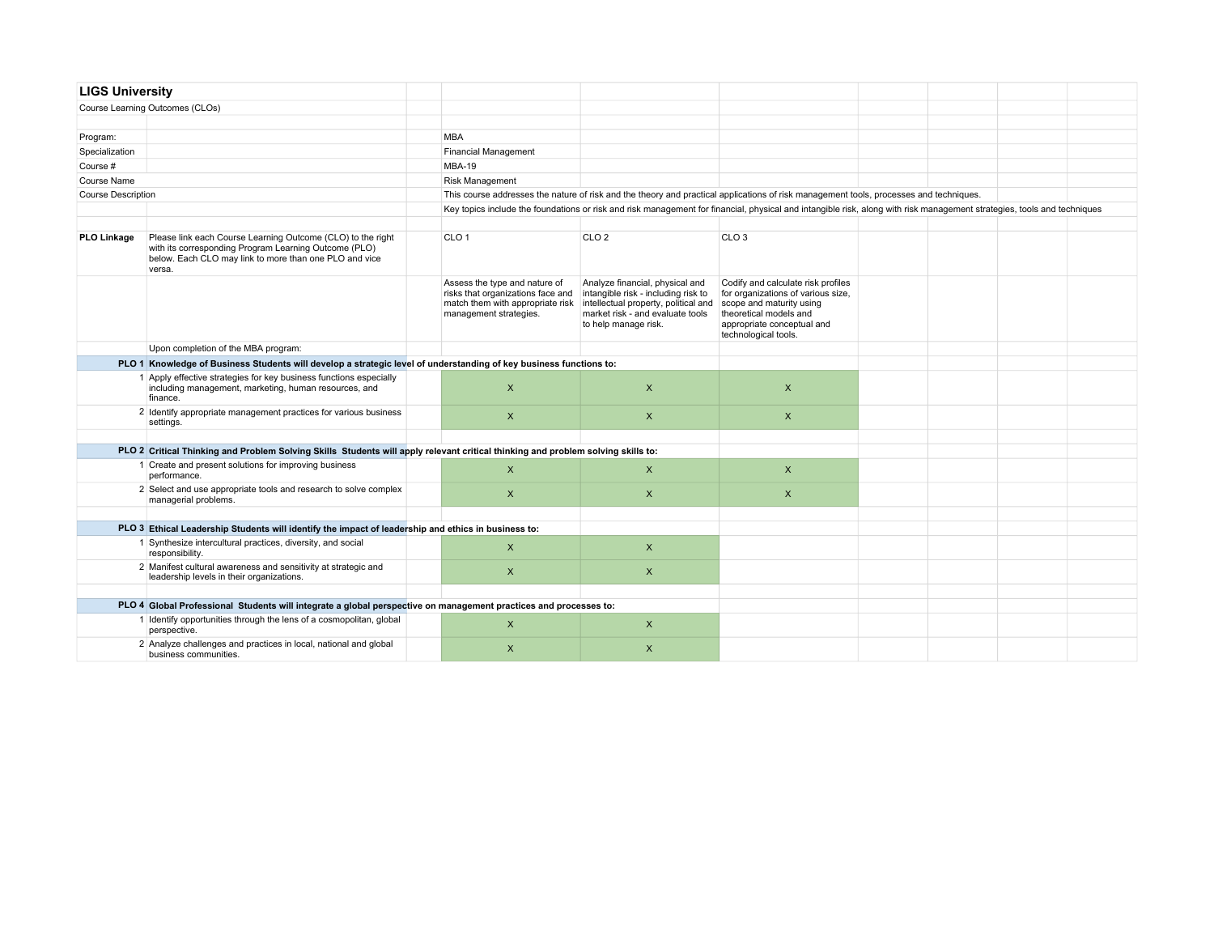| <b>LIGS University</b>    |                                                                                                                                                                                          |  |                                                                                                                                                                         |                                                                                                                                                                            |                                                                                                                                                                                      |  |  |  |  |  |
|---------------------------|------------------------------------------------------------------------------------------------------------------------------------------------------------------------------------------|--|-------------------------------------------------------------------------------------------------------------------------------------------------------------------------|----------------------------------------------------------------------------------------------------------------------------------------------------------------------------|--------------------------------------------------------------------------------------------------------------------------------------------------------------------------------------|--|--|--|--|--|
|                           | Course Learning Outcomes (CLOs)                                                                                                                                                          |  |                                                                                                                                                                         |                                                                                                                                                                            |                                                                                                                                                                                      |  |  |  |  |  |
|                           |                                                                                                                                                                                          |  |                                                                                                                                                                         |                                                                                                                                                                            |                                                                                                                                                                                      |  |  |  |  |  |
| Program:                  |                                                                                                                                                                                          |  | <b>MBA</b>                                                                                                                                                              |                                                                                                                                                                            |                                                                                                                                                                                      |  |  |  |  |  |
| Specialization            |                                                                                                                                                                                          |  | Financial Management                                                                                                                                                    |                                                                                                                                                                            |                                                                                                                                                                                      |  |  |  |  |  |
| Course #                  |                                                                                                                                                                                          |  | <b>MBA-19</b>                                                                                                                                                           |                                                                                                                                                                            |                                                                                                                                                                                      |  |  |  |  |  |
| Course Name               |                                                                                                                                                                                          |  | <b>Risk Management</b>                                                                                                                                                  |                                                                                                                                                                            |                                                                                                                                                                                      |  |  |  |  |  |
| <b>Course Description</b> |                                                                                                                                                                                          |  | This course addresses the nature of risk and the theory and practical applications of risk management tools, processes and techniques.                                  |                                                                                                                                                                            |                                                                                                                                                                                      |  |  |  |  |  |
|                           |                                                                                                                                                                                          |  | Key topics include the foundations or risk and risk management for financial, physical and intangible risk, along with risk management strategies, tools and techniques |                                                                                                                                                                            |                                                                                                                                                                                      |  |  |  |  |  |
|                           |                                                                                                                                                                                          |  |                                                                                                                                                                         |                                                                                                                                                                            |                                                                                                                                                                                      |  |  |  |  |  |
| <b>PLO Linkage</b>        | Please link each Course Learning Outcome (CLO) to the right<br>with its corresponding Program Learning Outcome (PLO)<br>below. Each CLO may link to more than one PLO and vice<br>versa. |  | CLO <sub>1</sub>                                                                                                                                                        | CLO <sub>2</sub>                                                                                                                                                           | CLO <sub>3</sub>                                                                                                                                                                     |  |  |  |  |  |
|                           |                                                                                                                                                                                          |  | Assess the type and nature of<br>risks that organizations face and<br>match them with appropriate risk<br>management strategies.                                        | Analyze financial, physical and<br>intangible risk - including risk to<br>intellectual property, political and<br>market risk - and evaluate tools<br>to help manage risk. | Codify and calculate risk profiles<br>for organizations of various size,<br>scope and maturity using<br>theoretical models and<br>appropriate conceptual and<br>technological tools. |  |  |  |  |  |
|                           | Upon completion of the MBA program:                                                                                                                                                      |  |                                                                                                                                                                         |                                                                                                                                                                            |                                                                                                                                                                                      |  |  |  |  |  |
|                           | PLO 1 Knowledge of Business Students will develop a strategic level of understanding of key business functions to:                                                                       |  |                                                                                                                                                                         |                                                                                                                                                                            |                                                                                                                                                                                      |  |  |  |  |  |
|                           | 1 Apply effective strategies for key business functions especially<br>including management, marketing, human resources, and<br>finance.                                                  |  | $\pmb{\times}$                                                                                                                                                          | X                                                                                                                                                                          | $\times$                                                                                                                                                                             |  |  |  |  |  |
|                           | 2 Identify appropriate management practices for various business<br>settings.                                                                                                            |  | $\mathsf{x}$                                                                                                                                                            | $\mathsf{X}$                                                                                                                                                               | $\mathsf{x}$                                                                                                                                                                         |  |  |  |  |  |
|                           |                                                                                                                                                                                          |  |                                                                                                                                                                         |                                                                                                                                                                            |                                                                                                                                                                                      |  |  |  |  |  |
|                           | PLO 2 Critical Thinking and Problem Solving Skills Students will apply relevant critical thinking and problem solving skills to:                                                         |  |                                                                                                                                                                         |                                                                                                                                                                            |                                                                                                                                                                                      |  |  |  |  |  |
|                           | 1 Create and present solutions for improving business<br>performance.                                                                                                                    |  | $\boldsymbol{\mathsf{X}}$                                                                                                                                               | X                                                                                                                                                                          | $\mathsf{X}$                                                                                                                                                                         |  |  |  |  |  |
|                           | 2 Select and use appropriate tools and research to solve complex<br>managerial problems.                                                                                                 |  | $\pmb{\times}$                                                                                                                                                          | $\mathsf{x}$                                                                                                                                                               | $\mathsf{x}$                                                                                                                                                                         |  |  |  |  |  |
|                           |                                                                                                                                                                                          |  |                                                                                                                                                                         |                                                                                                                                                                            |                                                                                                                                                                                      |  |  |  |  |  |
|                           | PLO 3 Ethical Leadership Students will identify the impact of leadership and ethics in business to:                                                                                      |  |                                                                                                                                                                         |                                                                                                                                                                            |                                                                                                                                                                                      |  |  |  |  |  |
|                           | 1 Synthesize intercultural practices, diversity, and social<br>responsibility.                                                                                                           |  | $\boldsymbol{\mathsf{X}}$                                                                                                                                               | $\pmb{\times}$                                                                                                                                                             |                                                                                                                                                                                      |  |  |  |  |  |
|                           | 2 Manifest cultural awareness and sensitivity at strategic and<br>leadership levels in their organizations.                                                                              |  | $\pmb{\times}$                                                                                                                                                          | $\mathsf{x}$                                                                                                                                                               |                                                                                                                                                                                      |  |  |  |  |  |
|                           |                                                                                                                                                                                          |  |                                                                                                                                                                         |                                                                                                                                                                            |                                                                                                                                                                                      |  |  |  |  |  |
|                           | PLO 4 Global Professional Students will integrate a global perspective on management practices and processes to:                                                                         |  |                                                                                                                                                                         |                                                                                                                                                                            |                                                                                                                                                                                      |  |  |  |  |  |
|                           | 1 Identify opportunities through the lens of a cosmopolitan, global<br>perspective.                                                                                                      |  | $\mathsf{x}$                                                                                                                                                            | $\boldsymbol{\mathsf{X}}$                                                                                                                                                  |                                                                                                                                                                                      |  |  |  |  |  |
|                           | 2 Analyze challenges and practices in local, national and global<br>business communities.                                                                                                |  | $\pmb{\times}$                                                                                                                                                          | $\pmb{\times}$                                                                                                                                                             |                                                                                                                                                                                      |  |  |  |  |  |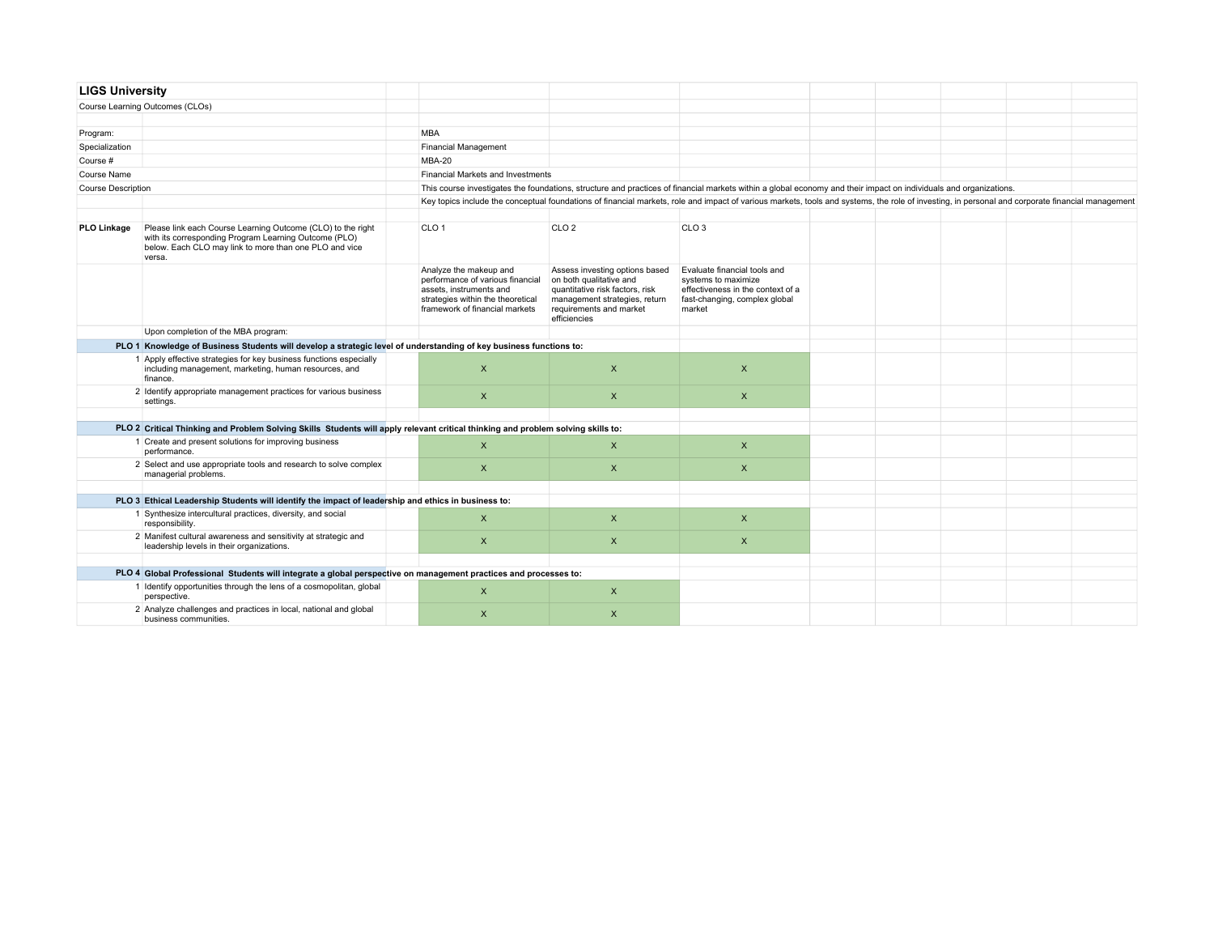| <b>LIGS University</b>    |                                                                                                                                                                                          |  |                                                                                                                                                              |                                                                                                                                                                                                  |                                                                                                                                     |  |  |  |
|---------------------------|------------------------------------------------------------------------------------------------------------------------------------------------------------------------------------------|--|--------------------------------------------------------------------------------------------------------------------------------------------------------------|--------------------------------------------------------------------------------------------------------------------------------------------------------------------------------------------------|-------------------------------------------------------------------------------------------------------------------------------------|--|--|--|
|                           | Course Learning Outcomes (CLOs)                                                                                                                                                          |  |                                                                                                                                                              |                                                                                                                                                                                                  |                                                                                                                                     |  |  |  |
|                           |                                                                                                                                                                                          |  |                                                                                                                                                              |                                                                                                                                                                                                  |                                                                                                                                     |  |  |  |
| Program:                  |                                                                                                                                                                                          |  | <b>MBA</b>                                                                                                                                                   |                                                                                                                                                                                                  |                                                                                                                                     |  |  |  |
| Specialization            |                                                                                                                                                                                          |  | <b>Financial Management</b>                                                                                                                                  |                                                                                                                                                                                                  |                                                                                                                                     |  |  |  |
| Course #                  |                                                                                                                                                                                          |  | MBA-20                                                                                                                                                       |                                                                                                                                                                                                  |                                                                                                                                     |  |  |  |
| Course Name               |                                                                                                                                                                                          |  | <b>Financial Markets and Investments</b>                                                                                                                     |                                                                                                                                                                                                  |                                                                                                                                     |  |  |  |
| <b>Course Description</b> |                                                                                                                                                                                          |  |                                                                                                                                                              | This course investigates the foundations, structure and practices of financial markets within a global economy and their impact on individuals and organizations.                                |                                                                                                                                     |  |  |  |
|                           |                                                                                                                                                                                          |  |                                                                                                                                                              | Key topics include the conceptual foundations of financial markets, role and impact of various markets, tools and systems, the role of investing, in personal and corporate financial management |                                                                                                                                     |  |  |  |
|                           |                                                                                                                                                                                          |  |                                                                                                                                                              |                                                                                                                                                                                                  |                                                                                                                                     |  |  |  |
| <b>PLO Linkage</b>        | Please link each Course Learning Outcome (CLO) to the right<br>with its corresponding Program Learning Outcome (PLO)<br>below. Each CLO may link to more than one PLO and vice<br>versa. |  | CLO <sub>1</sub>                                                                                                                                             | CLO <sub>2</sub>                                                                                                                                                                                 | CLO <sub>3</sub>                                                                                                                    |  |  |  |
|                           |                                                                                                                                                                                          |  | Analyze the makeup and<br>performance of various financial<br>assets, instruments and<br>strategies within the theoretical<br>framework of financial markets | Assess investing options based<br>on both qualitative and<br>quantitative risk factors, risk<br>management strategies, return<br>requirements and market<br>efficiencies                         | Evaluate financial tools and<br>systems to maximize<br>effectiveness in the context of a<br>fast-changing, complex global<br>market |  |  |  |
|                           | Upon completion of the MBA program:                                                                                                                                                      |  |                                                                                                                                                              |                                                                                                                                                                                                  |                                                                                                                                     |  |  |  |
|                           | PLO 1 Knowledge of Business Students will develop a strategic level of understanding of key business functions to:                                                                       |  |                                                                                                                                                              |                                                                                                                                                                                                  |                                                                                                                                     |  |  |  |
|                           | 1 Apply effective strategies for key business functions especially<br>including management, marketing, human resources, and<br>finance.                                                  |  | $\mathsf{x}$                                                                                                                                                 | $\pmb{\times}$                                                                                                                                                                                   | X                                                                                                                                   |  |  |  |
|                           | 2 Identify appropriate management practices for various business<br>settings.                                                                                                            |  | $\mathsf{x}$                                                                                                                                                 | $\times$                                                                                                                                                                                         | $\mathsf{X}$                                                                                                                        |  |  |  |
|                           |                                                                                                                                                                                          |  |                                                                                                                                                              |                                                                                                                                                                                                  |                                                                                                                                     |  |  |  |
|                           | PLO 2 Critical Thinking and Problem Solving Skills Students will apply relevant critical thinking and problem solving skills to:                                                         |  |                                                                                                                                                              |                                                                                                                                                                                                  |                                                                                                                                     |  |  |  |
|                           | 1 Create and present solutions for improving business<br>performance.                                                                                                                    |  | $\boldsymbol{\mathsf{X}}$                                                                                                                                    | X                                                                                                                                                                                                | X                                                                                                                                   |  |  |  |
|                           | 2 Select and use appropriate tools and research to solve complex<br>managerial problems.                                                                                                 |  | $\boldsymbol{\mathsf{x}}$                                                                                                                                    | $\mathsf{x}$                                                                                                                                                                                     | $\mathsf{X}$                                                                                                                        |  |  |  |
|                           |                                                                                                                                                                                          |  |                                                                                                                                                              |                                                                                                                                                                                                  |                                                                                                                                     |  |  |  |
|                           | PLO 3 Ethical Leadership Students will identify the impact of leadership and ethics in business to:                                                                                      |  |                                                                                                                                                              |                                                                                                                                                                                                  |                                                                                                                                     |  |  |  |
|                           | 1 Synthesize intercultural practices, diversity, and social<br>responsibility.                                                                                                           |  | $\times$                                                                                                                                                     | X                                                                                                                                                                                                | X                                                                                                                                   |  |  |  |
|                           | 2 Manifest cultural awareness and sensitivity at strategic and<br>leadership levels in their organizations.                                                                              |  | $\mathsf{X}$                                                                                                                                                 | $\mathsf{x}$                                                                                                                                                                                     | X                                                                                                                                   |  |  |  |
|                           | PLO 4 Global Professional Students will integrate a global perspective on management practices and processes to:                                                                         |  |                                                                                                                                                              |                                                                                                                                                                                                  |                                                                                                                                     |  |  |  |
|                           | 1 Identify opportunities through the lens of a cosmopolitan, global<br>perspective.                                                                                                      |  | $\mathsf{x}$                                                                                                                                                 | $\mathsf{x}$                                                                                                                                                                                     |                                                                                                                                     |  |  |  |
|                           | 2 Analyze challenges and practices in local, national and global<br>business communities.                                                                                                |  | $\times$                                                                                                                                                     | $\pmb{\times}$                                                                                                                                                                                   |                                                                                                                                     |  |  |  |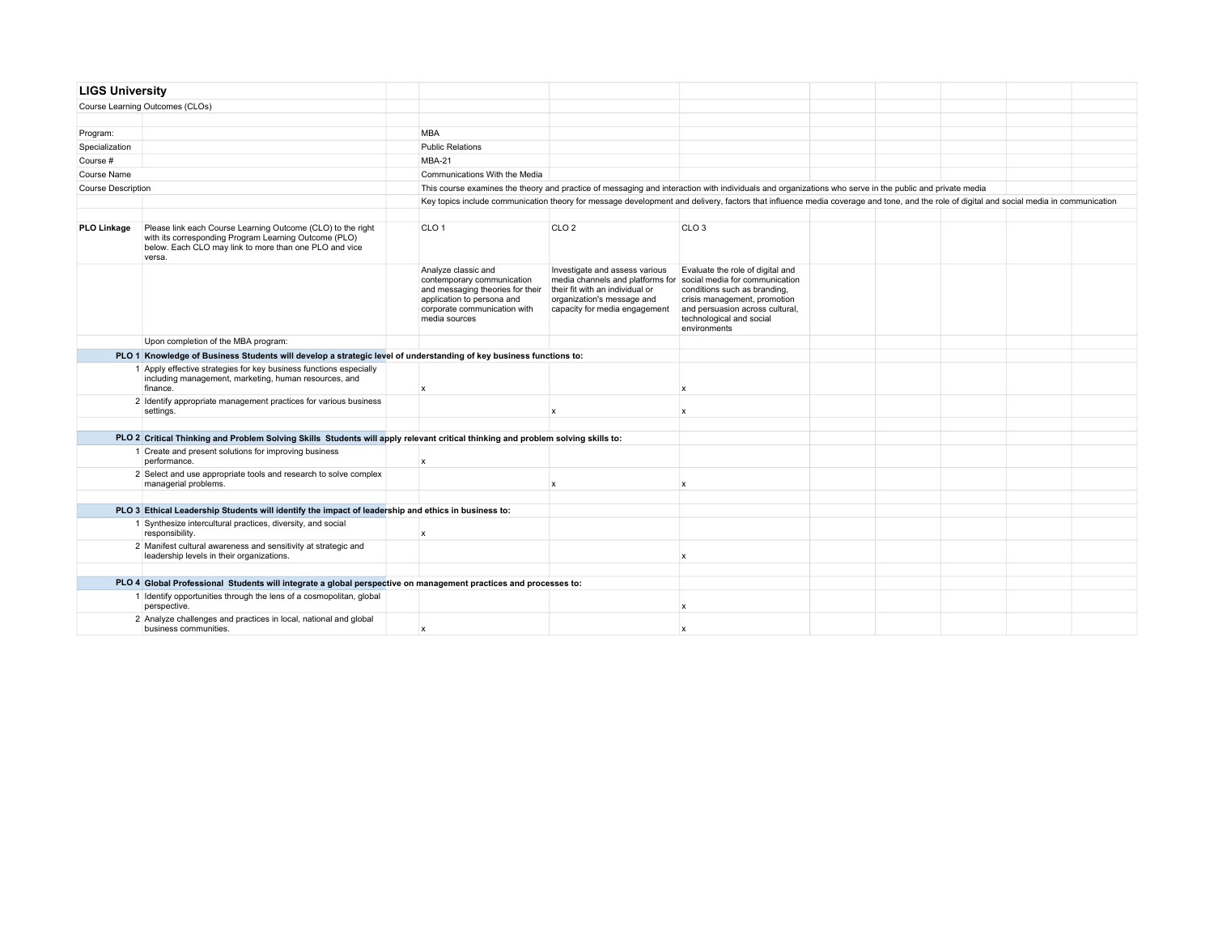| <b>LIGS University</b>    |                                                                                                                                                                                          |                                                                                                                                                                      |                                                                                                                                                                                                     |                                                                                                                                                                                 |  |  |                                                                                                                                                                                         |  |  |
|---------------------------|------------------------------------------------------------------------------------------------------------------------------------------------------------------------------------------|----------------------------------------------------------------------------------------------------------------------------------------------------------------------|-----------------------------------------------------------------------------------------------------------------------------------------------------------------------------------------------------|---------------------------------------------------------------------------------------------------------------------------------------------------------------------------------|--|--|-----------------------------------------------------------------------------------------------------------------------------------------------------------------------------------------|--|--|
|                           | Course Learning Outcomes (CLOs)                                                                                                                                                          |                                                                                                                                                                      |                                                                                                                                                                                                     |                                                                                                                                                                                 |  |  |                                                                                                                                                                                         |  |  |
|                           |                                                                                                                                                                                          |                                                                                                                                                                      |                                                                                                                                                                                                     |                                                                                                                                                                                 |  |  |                                                                                                                                                                                         |  |  |
| Program:                  |                                                                                                                                                                                          | <b>MBA</b>                                                                                                                                                           |                                                                                                                                                                                                     |                                                                                                                                                                                 |  |  |                                                                                                                                                                                         |  |  |
| Specialization            |                                                                                                                                                                                          | <b>Public Relations</b>                                                                                                                                              |                                                                                                                                                                                                     |                                                                                                                                                                                 |  |  |                                                                                                                                                                                         |  |  |
| Course #                  |                                                                                                                                                                                          | MBA-21                                                                                                                                                               |                                                                                                                                                                                                     |                                                                                                                                                                                 |  |  |                                                                                                                                                                                         |  |  |
| Course Name               |                                                                                                                                                                                          | Communications With the Media                                                                                                                                        |                                                                                                                                                                                                     |                                                                                                                                                                                 |  |  |                                                                                                                                                                                         |  |  |
| <b>Course Description</b> |                                                                                                                                                                                          | This course examines the theory and practice of messaging and interaction with individuals and organizations who serve in the public and private media               |                                                                                                                                                                                                     |                                                                                                                                                                                 |  |  |                                                                                                                                                                                         |  |  |
|                           |                                                                                                                                                                                          |                                                                                                                                                                      |                                                                                                                                                                                                     |                                                                                                                                                                                 |  |  | Key topics include communication theory for message development and delivery, factors that influence media coverage and tone, and the role of digital and social media in communication |  |  |
|                           |                                                                                                                                                                                          |                                                                                                                                                                      |                                                                                                                                                                                                     |                                                                                                                                                                                 |  |  |                                                                                                                                                                                         |  |  |
| <b>PLO Linkage</b>        | Please link each Course Learning Outcome (CLO) to the right<br>with its corresponding Program Learning Outcome (PLO)<br>below. Each CLO may link to more than one PLO and vice<br>versa. | CLO <sub>1</sub>                                                                                                                                                     | CLO <sub>2</sub>                                                                                                                                                                                    | CLO <sub>3</sub>                                                                                                                                                                |  |  |                                                                                                                                                                                         |  |  |
|                           |                                                                                                                                                                                          | Analyze classic and<br>contemporary communication<br>and messaging theories for their<br>application to persona and<br>corporate communication with<br>media sources | Investigate and assess various<br>media channels and platforms for social media for communication<br>their fit with an individual or<br>organization's message and<br>capacity for media engagement | Evaluate the role of digital and<br>conditions such as branding,<br>crisis management, promotion<br>and persuasion across cultural,<br>technological and social<br>environments |  |  |                                                                                                                                                                                         |  |  |
|                           | Upon completion of the MBA program:                                                                                                                                                      |                                                                                                                                                                      |                                                                                                                                                                                                     |                                                                                                                                                                                 |  |  |                                                                                                                                                                                         |  |  |
|                           | PLO 1 Knowledge of Business Students will develop a strategic level of understanding of key business functions to:                                                                       |                                                                                                                                                                      |                                                                                                                                                                                                     |                                                                                                                                                                                 |  |  |                                                                                                                                                                                         |  |  |
|                           | 1 Apply effective strategies for key business functions especially<br>including management, marketing, human resources, and<br>finance.                                                  | $\mathsf{x}$                                                                                                                                                         |                                                                                                                                                                                                     | $\mathsf{x}$                                                                                                                                                                    |  |  |                                                                                                                                                                                         |  |  |
|                           | 2 Identify appropriate management practices for various business<br>settings.                                                                                                            |                                                                                                                                                                      | $\mathbf x$                                                                                                                                                                                         | $\mathsf{x}$                                                                                                                                                                    |  |  |                                                                                                                                                                                         |  |  |
|                           |                                                                                                                                                                                          |                                                                                                                                                                      |                                                                                                                                                                                                     |                                                                                                                                                                                 |  |  |                                                                                                                                                                                         |  |  |
|                           | PLO 2 Critical Thinking and Problem Solving Skills Students will apply relevant critical thinking and problem solving skills to:                                                         |                                                                                                                                                                      |                                                                                                                                                                                                     |                                                                                                                                                                                 |  |  |                                                                                                                                                                                         |  |  |
|                           | 1 Create and present solutions for improving business<br>performance.                                                                                                                    | $\mathsf{x}$                                                                                                                                                         |                                                                                                                                                                                                     |                                                                                                                                                                                 |  |  |                                                                                                                                                                                         |  |  |
|                           | 2 Select and use appropriate tools and research to solve complex<br>managerial problems.                                                                                                 |                                                                                                                                                                      | $\boldsymbol{\mathsf{x}}$                                                                                                                                                                           | $\mathsf{x}$                                                                                                                                                                    |  |  |                                                                                                                                                                                         |  |  |
|                           |                                                                                                                                                                                          |                                                                                                                                                                      |                                                                                                                                                                                                     |                                                                                                                                                                                 |  |  |                                                                                                                                                                                         |  |  |
|                           | PLO 3 Ethical Leadership Students will identify the impact of leadership and ethics in business to:                                                                                      |                                                                                                                                                                      |                                                                                                                                                                                                     |                                                                                                                                                                                 |  |  |                                                                                                                                                                                         |  |  |
|                           | 1 Synthesize intercultural practices, diversity, and social<br>responsibility.                                                                                                           | $\mathsf{x}$                                                                                                                                                         |                                                                                                                                                                                                     |                                                                                                                                                                                 |  |  |                                                                                                                                                                                         |  |  |
|                           | 2 Manifest cultural awareness and sensitivity at strategic and<br>leadership levels in their organizations.                                                                              |                                                                                                                                                                      |                                                                                                                                                                                                     | X                                                                                                                                                                               |  |  |                                                                                                                                                                                         |  |  |
|                           |                                                                                                                                                                                          |                                                                                                                                                                      |                                                                                                                                                                                                     |                                                                                                                                                                                 |  |  |                                                                                                                                                                                         |  |  |
|                           | PLO 4 Global Professional Students will integrate a global perspective on management practices and processes to:                                                                         |                                                                                                                                                                      |                                                                                                                                                                                                     |                                                                                                                                                                                 |  |  |                                                                                                                                                                                         |  |  |
|                           | 1 Identify opportunities through the lens of a cosmopolitan, global<br>perspective.                                                                                                      |                                                                                                                                                                      |                                                                                                                                                                                                     | $\mathsf{x}$                                                                                                                                                                    |  |  |                                                                                                                                                                                         |  |  |
|                           | 2 Analyze challenges and practices in local, national and global<br>business communities.                                                                                                | $\mathbf{x}$                                                                                                                                                         |                                                                                                                                                                                                     | $\mathbf{x}$                                                                                                                                                                    |  |  |                                                                                                                                                                                         |  |  |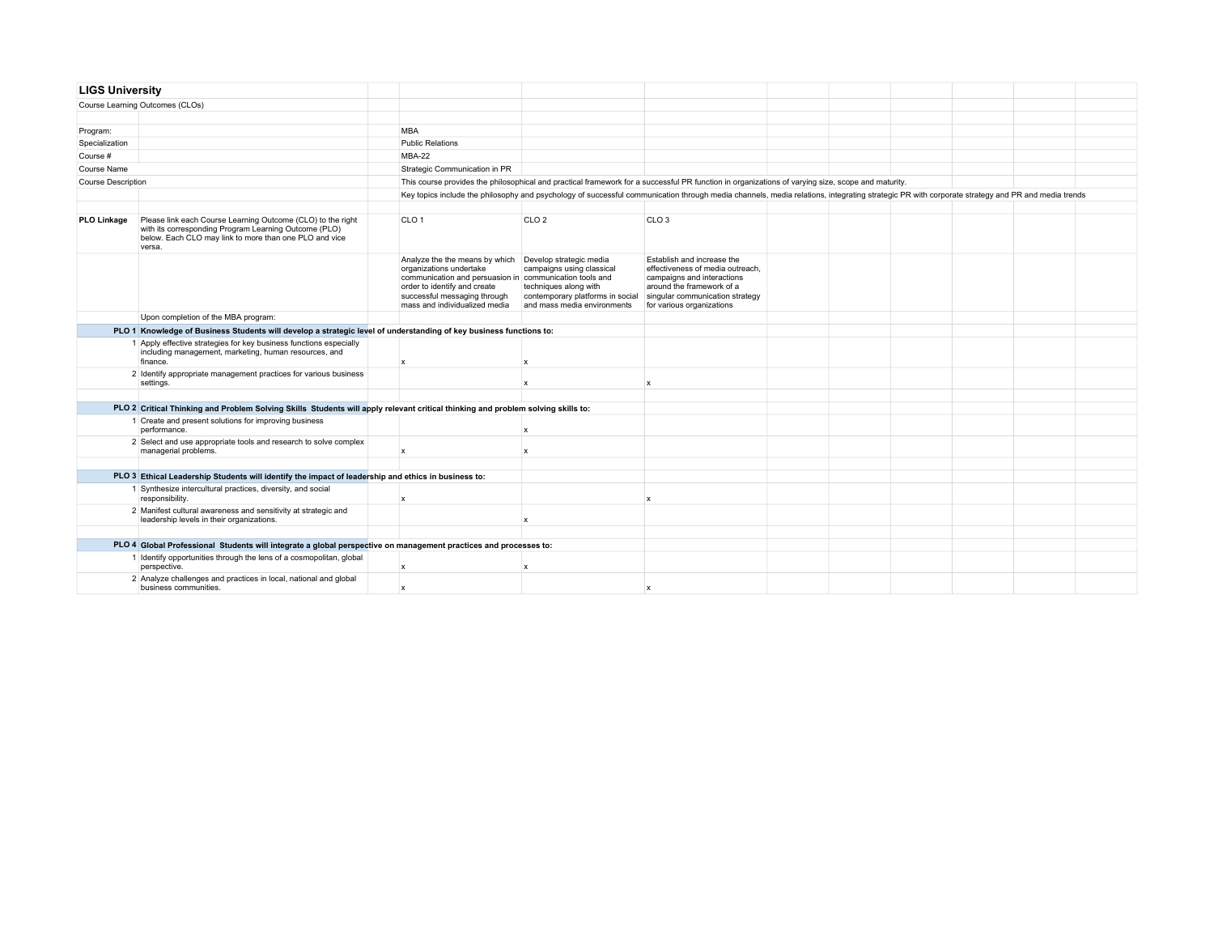| <b>LIGS University</b>    |                                                                                                                                                                                          |                                                                                                                                                                                                                                               |                                                                                                                                                   |                                                                                                                                                                                                |  |  |  |  |  |  |  |  |
|---------------------------|------------------------------------------------------------------------------------------------------------------------------------------------------------------------------------------|-----------------------------------------------------------------------------------------------------------------------------------------------------------------------------------------------------------------------------------------------|---------------------------------------------------------------------------------------------------------------------------------------------------|------------------------------------------------------------------------------------------------------------------------------------------------------------------------------------------------|--|--|--|--|--|--|--|--|
|                           | Course Learning Outcomes (CLOs)                                                                                                                                                          |                                                                                                                                                                                                                                               |                                                                                                                                                   |                                                                                                                                                                                                |  |  |  |  |  |  |  |  |
|                           |                                                                                                                                                                                          |                                                                                                                                                                                                                                               |                                                                                                                                                   |                                                                                                                                                                                                |  |  |  |  |  |  |  |  |
| Program:                  |                                                                                                                                                                                          | <b>MBA</b>                                                                                                                                                                                                                                    |                                                                                                                                                   |                                                                                                                                                                                                |  |  |  |  |  |  |  |  |
| Specialization            |                                                                                                                                                                                          | <b>Public Relations</b>                                                                                                                                                                                                                       |                                                                                                                                                   |                                                                                                                                                                                                |  |  |  |  |  |  |  |  |
| Course #                  |                                                                                                                                                                                          | MBA-22                                                                                                                                                                                                                                        |                                                                                                                                                   |                                                                                                                                                                                                |  |  |  |  |  |  |  |  |
| Course Name               |                                                                                                                                                                                          | Strategic Communication in PR                                                                                                                                                                                                                 |                                                                                                                                                   |                                                                                                                                                                                                |  |  |  |  |  |  |  |  |
| <b>Course Description</b> |                                                                                                                                                                                          |                                                                                                                                                                                                                                               | This course provides the philosophical and practical framework for a successful PR function in organizations of varying size, scope and maturity. |                                                                                                                                                                                                |  |  |  |  |  |  |  |  |
|                           |                                                                                                                                                                                          |                                                                                                                                                                                                                                               |                                                                                                                                                   | Key topics include the philosophy and psychology of successful communication through media channels, media relations, integrating strategic PR with corporate strategy and PR and media trends |  |  |  |  |  |  |  |  |
|                           |                                                                                                                                                                                          |                                                                                                                                                                                                                                               |                                                                                                                                                   |                                                                                                                                                                                                |  |  |  |  |  |  |  |  |
| <b>PLO Linkage</b>        | Please link each Course Learning Outcome (CLO) to the right<br>with its corresponding Program Learning Outcome (PLO)<br>below. Each CLO may link to more than one PLO and vice<br>versa. | CLO <sub>1</sub>                                                                                                                                                                                                                              | CLO <sub>2</sub>                                                                                                                                  | CLO <sub>3</sub>                                                                                                                                                                               |  |  |  |  |  |  |  |  |
|                           |                                                                                                                                                                                          | Analyze the the means by which Develop strategic media<br>organizations undertake<br>communication and persuasion in communication tools and<br>order to identify and create<br>successful messaging through<br>mass and individualized media | campaigns using classical<br>techniques along with<br>contemporary platforms in social<br>and mass media environments                             | Establish and increase the<br>effectiveness of media outreach,<br>campaigns and interactions<br>around the framework of a<br>singular communication strategy<br>for various organizations      |  |  |  |  |  |  |  |  |
|                           | Upon completion of the MBA program:                                                                                                                                                      |                                                                                                                                                                                                                                               |                                                                                                                                                   |                                                                                                                                                                                                |  |  |  |  |  |  |  |  |
|                           | PLO 1 Knowledge of Business Students will develop a strategic level of understanding of key business functions to:                                                                       |                                                                                                                                                                                                                                               |                                                                                                                                                   |                                                                                                                                                                                                |  |  |  |  |  |  |  |  |
|                           | 1 Apply effective strategies for key business functions especially<br>including management, marketing, human resources, and<br>finance.                                                  | $\boldsymbol{\mathsf{x}}$                                                                                                                                                                                                                     | $\mathbf{x}$                                                                                                                                      |                                                                                                                                                                                                |  |  |  |  |  |  |  |  |
|                           | 2 Identify appropriate management practices for various business<br>settings.                                                                                                            |                                                                                                                                                                                                                                               | $\mathbf{x}$                                                                                                                                      | $\mathbf{x}$                                                                                                                                                                                   |  |  |  |  |  |  |  |  |
|                           |                                                                                                                                                                                          |                                                                                                                                                                                                                                               |                                                                                                                                                   |                                                                                                                                                                                                |  |  |  |  |  |  |  |  |
|                           | PLO 2 Critical Thinking and Problem Solving Skills Students will apply relevant critical thinking and problem solving skills to:                                                         |                                                                                                                                                                                                                                               |                                                                                                                                                   |                                                                                                                                                                                                |  |  |  |  |  |  |  |  |
|                           | 1 Create and present solutions for improving business<br>performance.                                                                                                                    |                                                                                                                                                                                                                                               | $\mathbf x$                                                                                                                                       |                                                                                                                                                                                                |  |  |  |  |  |  |  |  |
|                           | 2 Select and use appropriate tools and research to solve complex<br>managerial problems.                                                                                                 | $\boldsymbol{\mathsf{x}}$                                                                                                                                                                                                                     | $\mathbf x$                                                                                                                                       |                                                                                                                                                                                                |  |  |  |  |  |  |  |  |
|                           |                                                                                                                                                                                          |                                                                                                                                                                                                                                               |                                                                                                                                                   |                                                                                                                                                                                                |  |  |  |  |  |  |  |  |
|                           | PLO 3 Ethical Leadership Students will identify the impact of leadership and ethics in business to:                                                                                      |                                                                                                                                                                                                                                               |                                                                                                                                                   |                                                                                                                                                                                                |  |  |  |  |  |  |  |  |
|                           | 1 Synthesize intercultural practices, diversity, and social<br>responsibility.                                                                                                           | $\boldsymbol{x}$                                                                                                                                                                                                                              |                                                                                                                                                   | x                                                                                                                                                                                              |  |  |  |  |  |  |  |  |
|                           | 2 Manifest cultural awareness and sensitivity at strategic and<br>leadership levels in their organizations.                                                                              |                                                                                                                                                                                                                                               | $\boldsymbol{\mathsf{x}}$                                                                                                                         |                                                                                                                                                                                                |  |  |  |  |  |  |  |  |
|                           |                                                                                                                                                                                          |                                                                                                                                                                                                                                               |                                                                                                                                                   |                                                                                                                                                                                                |  |  |  |  |  |  |  |  |
|                           | PLO 4 Global Professional Students will integrate a global perspective on management practices and processes to:                                                                         |                                                                                                                                                                                                                                               |                                                                                                                                                   |                                                                                                                                                                                                |  |  |  |  |  |  |  |  |
|                           | 1 Identify opportunities through the lens of a cosmopolitan, global<br>perspective.                                                                                                      | $\boldsymbol{x}$                                                                                                                                                                                                                              | $\mathbf{x}$                                                                                                                                      |                                                                                                                                                                                                |  |  |  |  |  |  |  |  |
|                           | 2 Analyze challenges and practices in local, national and global<br>business communities.                                                                                                | $\mathbf{x}$                                                                                                                                                                                                                                  |                                                                                                                                                   |                                                                                                                                                                                                |  |  |  |  |  |  |  |  |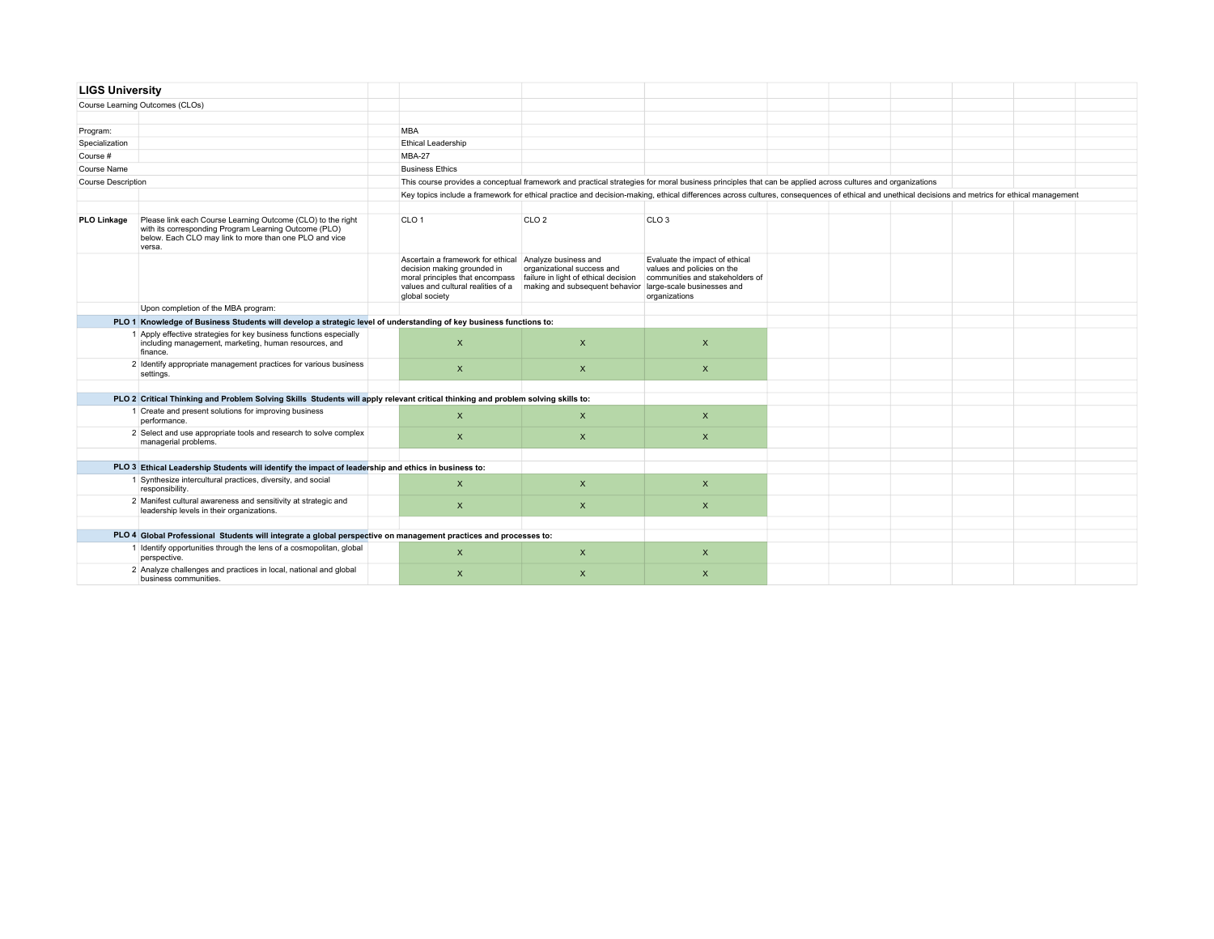| <b>LIGS University</b>    |                                                                                                                                                                                          |                                                                                                                                                                                  |                                                                                                                                                                                                  |                                                                                                                                                |  |  |  |
|---------------------------|------------------------------------------------------------------------------------------------------------------------------------------------------------------------------------------|----------------------------------------------------------------------------------------------------------------------------------------------------------------------------------|--------------------------------------------------------------------------------------------------------------------------------------------------------------------------------------------------|------------------------------------------------------------------------------------------------------------------------------------------------|--|--|--|
|                           | Course Learning Outcomes (CLOs)                                                                                                                                                          |                                                                                                                                                                                  |                                                                                                                                                                                                  |                                                                                                                                                |  |  |  |
|                           |                                                                                                                                                                                          |                                                                                                                                                                                  |                                                                                                                                                                                                  |                                                                                                                                                |  |  |  |
| Program:                  |                                                                                                                                                                                          | <b>MBA</b>                                                                                                                                                                       |                                                                                                                                                                                                  |                                                                                                                                                |  |  |  |
| Specialization            |                                                                                                                                                                                          | <b>Ethical Leadership</b>                                                                                                                                                        |                                                                                                                                                                                                  |                                                                                                                                                |  |  |  |
| Course #                  |                                                                                                                                                                                          | MBA-27                                                                                                                                                                           |                                                                                                                                                                                                  |                                                                                                                                                |  |  |  |
| Course Name               |                                                                                                                                                                                          | <b>Business Ethics</b>                                                                                                                                                           |                                                                                                                                                                                                  |                                                                                                                                                |  |  |  |
| <b>Course Description</b> |                                                                                                                                                                                          |                                                                                                                                                                                  | This course provides a conceptual framework and practical strategies for moral business principles that can be applied across cultures and organizations                                         |                                                                                                                                                |  |  |  |
|                           |                                                                                                                                                                                          |                                                                                                                                                                                  | Key topics include a framework for ethical practice and decision-making, ethical differences across cultures, consequences of ethical and unethical decisions and metrics for ethical management |                                                                                                                                                |  |  |  |
|                           |                                                                                                                                                                                          |                                                                                                                                                                                  |                                                                                                                                                                                                  |                                                                                                                                                |  |  |  |
| <b>PLO Linkage</b>        | Please link each Course Learning Outcome (CLO) to the right<br>with its corresponding Program Learning Outcome (PLO)<br>below. Each CLO may link to more than one PLO and vice<br>versa. | CLO <sub>1</sub>                                                                                                                                                                 | CLO <sub>2</sub>                                                                                                                                                                                 | CLO <sub>3</sub>                                                                                                                               |  |  |  |
|                           |                                                                                                                                                                                          | Ascertain a framework for ethical Analyze business and<br>decision making grounded in<br>moral principles that encompass<br>values and cultural realities of a<br>global society | organizational success and<br>failure in light of ethical decision<br>making and subsequent behavior                                                                                             | Evaluate the impact of ethical<br>values and policies on the<br>communities and stakeholders of<br>large-scale businesses and<br>organizations |  |  |  |
|                           | Upon completion of the MBA program:                                                                                                                                                      |                                                                                                                                                                                  |                                                                                                                                                                                                  |                                                                                                                                                |  |  |  |
|                           | PLO 1 Knowledge of Business Students will develop a strategic level of understanding of key business functions to:                                                                       |                                                                                                                                                                                  |                                                                                                                                                                                                  |                                                                                                                                                |  |  |  |
|                           | 1 Apply effective strategies for key business functions especially<br>including management, marketing, human resources, and<br>finance.                                                  | $\mathsf{x}$                                                                                                                                                                     | $\mathsf{x}$                                                                                                                                                                                     | $\pmb{\times}$                                                                                                                                 |  |  |  |
|                           | 2 Identify appropriate management practices for various business<br>settings.                                                                                                            | $\mathsf{x}$                                                                                                                                                                     | $\mathsf{x}$                                                                                                                                                                                     | $\mathsf{X}$                                                                                                                                   |  |  |  |
|                           |                                                                                                                                                                                          |                                                                                                                                                                                  |                                                                                                                                                                                                  |                                                                                                                                                |  |  |  |
|                           | PLO 2 Critical Thinking and Problem Solving Skills Students will apply relevant critical thinking and problem solving skills to:                                                         |                                                                                                                                                                                  |                                                                                                                                                                                                  |                                                                                                                                                |  |  |  |
|                           | 1 Create and present solutions for improving business<br>performance.                                                                                                                    | $\pmb{\times}$                                                                                                                                                                   | $\mathsf{x}$                                                                                                                                                                                     | $\pmb{\times}$                                                                                                                                 |  |  |  |
|                           | 2 Select and use appropriate tools and research to solve complex<br>managerial problems.                                                                                                 | $\mathsf{x}$                                                                                                                                                                     | $\mathsf{x}$                                                                                                                                                                                     | $\mathsf{x}$                                                                                                                                   |  |  |  |
|                           |                                                                                                                                                                                          |                                                                                                                                                                                  |                                                                                                                                                                                                  |                                                                                                                                                |  |  |  |
|                           | PLO 3 Ethical Leadership Students will identify the impact of leadership and ethics in business to:                                                                                      |                                                                                                                                                                                  |                                                                                                                                                                                                  |                                                                                                                                                |  |  |  |
|                           | 1 Synthesize intercultural practices, diversity, and social<br>responsibility.                                                                                                           | $\pmb{\times}$                                                                                                                                                                   | $\mathsf{x}$                                                                                                                                                                                     | $\pmb{\times}$                                                                                                                                 |  |  |  |
|                           | 2 Manifest cultural awareness and sensitivity at strategic and<br>leadership levels in their organizations.                                                                              | $\mathsf{x}$                                                                                                                                                                     | $\mathsf{x}$                                                                                                                                                                                     | $\mathsf{x}$                                                                                                                                   |  |  |  |
|                           |                                                                                                                                                                                          |                                                                                                                                                                                  |                                                                                                                                                                                                  |                                                                                                                                                |  |  |  |
|                           | PLO 4 Global Professional Students will integrate a global perspective on management practices and processes to:                                                                         |                                                                                                                                                                                  |                                                                                                                                                                                                  |                                                                                                                                                |  |  |  |
|                           | 1 Identify opportunities through the lens of a cosmopolitan, global<br>perspective.                                                                                                      | $\mathsf{x}$                                                                                                                                                                     | $\times$                                                                                                                                                                                         | $\mathsf{x}$                                                                                                                                   |  |  |  |
|                           | 2 Analyze challenges and practices in local, national and global<br>business communities.                                                                                                | $\pmb{\times}$                                                                                                                                                                   | $\boldsymbol{\mathsf{x}}$                                                                                                                                                                        | $\pmb{\times}$                                                                                                                                 |  |  |  |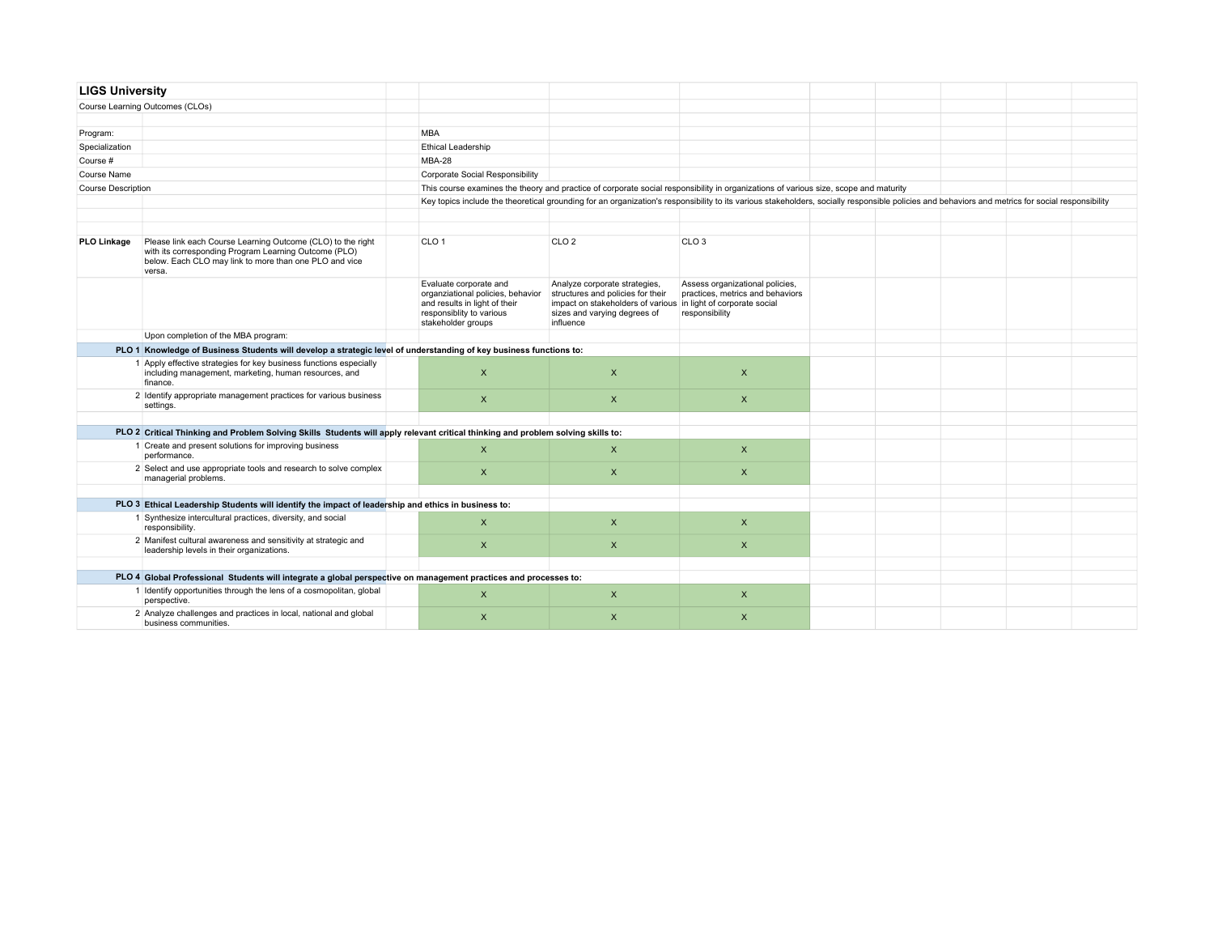| <b>LIGS University</b>    |                                                                                                                                                                                          |                                                                                                                                                |                                                                                                                                                                                                  |                                                                                       |  |  |  |
|---------------------------|------------------------------------------------------------------------------------------------------------------------------------------------------------------------------------------|------------------------------------------------------------------------------------------------------------------------------------------------|--------------------------------------------------------------------------------------------------------------------------------------------------------------------------------------------------|---------------------------------------------------------------------------------------|--|--|--|
|                           | Course Learning Outcomes (CLOs)                                                                                                                                                          |                                                                                                                                                |                                                                                                                                                                                                  |                                                                                       |  |  |  |
|                           |                                                                                                                                                                                          |                                                                                                                                                |                                                                                                                                                                                                  |                                                                                       |  |  |  |
| Program:                  |                                                                                                                                                                                          | <b>MBA</b>                                                                                                                                     |                                                                                                                                                                                                  |                                                                                       |  |  |  |
| Specialization            |                                                                                                                                                                                          | <b>Ethical Leadership</b>                                                                                                                      |                                                                                                                                                                                                  |                                                                                       |  |  |  |
| Course #                  |                                                                                                                                                                                          | MBA-28                                                                                                                                         |                                                                                                                                                                                                  |                                                                                       |  |  |  |
| Course Name               |                                                                                                                                                                                          | Corporate Social Responsibility                                                                                                                |                                                                                                                                                                                                  |                                                                                       |  |  |  |
| <b>Course Description</b> |                                                                                                                                                                                          |                                                                                                                                                | This course examines the theory and practice of corporate social responsibility in organizations of various size, scope and maturity                                                             |                                                                                       |  |  |  |
|                           |                                                                                                                                                                                          |                                                                                                                                                | Key topics include the theoretical grounding for an organization's responsibility to its various stakeholders, socially responsible policies and behaviors and metrics for social responsibility |                                                                                       |  |  |  |
|                           |                                                                                                                                                                                          |                                                                                                                                                |                                                                                                                                                                                                  |                                                                                       |  |  |  |
|                           |                                                                                                                                                                                          |                                                                                                                                                |                                                                                                                                                                                                  |                                                                                       |  |  |  |
| <b>PLO Linkage</b>        | Please link each Course Learning Outcome (CLO) to the right<br>with its corresponding Program Learning Outcome (PLO)<br>below. Each CLO may link to more than one PLO and vice<br>versa. | CLO <sub>1</sub>                                                                                                                               | CLO <sub>2</sub>                                                                                                                                                                                 | CLO <sub>3</sub>                                                                      |  |  |  |
|                           |                                                                                                                                                                                          | Evaluate corporate and<br>organziational policies, behavior<br>and results in light of their<br>responsiblity to various<br>stakeholder groups | Analyze corporate strategies,<br>structures and policies for their<br>impact on stakeholders of various in light of corporate social<br>sizes and varying degrees of<br>influence                | Assess organizational policies,<br>practices, metrics and behaviors<br>responsibility |  |  |  |
|                           | Upon completion of the MBA program:                                                                                                                                                      |                                                                                                                                                |                                                                                                                                                                                                  |                                                                                       |  |  |  |
|                           | PLO 1 Knowledge of Business Students will develop a strategic level of understanding of key business functions to:                                                                       |                                                                                                                                                |                                                                                                                                                                                                  |                                                                                       |  |  |  |
|                           | 1 Apply effective strategies for key business functions especially<br>including management, marketing, human resources, and<br>finance.                                                  | $\pmb{\times}$                                                                                                                                 | $\pmb{\times}$                                                                                                                                                                                   | $\pmb{\times}$                                                                        |  |  |  |
|                           | 2 Identify appropriate management practices for various business<br>settings.                                                                                                            | $\pmb{\times}$                                                                                                                                 | $\mathsf{X}$                                                                                                                                                                                     | $\mathsf{X}$                                                                          |  |  |  |
|                           |                                                                                                                                                                                          |                                                                                                                                                |                                                                                                                                                                                                  |                                                                                       |  |  |  |
|                           | PLO 2 Critical Thinking and Problem Solving Skills Students will apply relevant critical thinking and problem solving skills to:                                                         |                                                                                                                                                |                                                                                                                                                                                                  |                                                                                       |  |  |  |
|                           | 1 Create and present solutions for improving business<br>performance.                                                                                                                    | $\pmb{\times}$                                                                                                                                 | $\pmb{\times}$                                                                                                                                                                                   | $\pmb{\times}$                                                                        |  |  |  |
|                           | 2 Select and use appropriate tools and research to solve complex<br>managerial problems.                                                                                                 | $\pmb{\times}$                                                                                                                                 | $\mathsf{x}$                                                                                                                                                                                     | $\mathsf{X}$                                                                          |  |  |  |
|                           |                                                                                                                                                                                          |                                                                                                                                                |                                                                                                                                                                                                  |                                                                                       |  |  |  |
|                           | PLO 3 Ethical Leadership Students will identify the impact of leadership and ethics in business to:                                                                                      |                                                                                                                                                |                                                                                                                                                                                                  |                                                                                       |  |  |  |
|                           | 1 Synthesize intercultural practices, diversity, and social<br>responsibility.                                                                                                           | $\pmb{\times}$                                                                                                                                 | $\mathsf{x}$                                                                                                                                                                                     | $\pmb{\times}$                                                                        |  |  |  |
|                           | 2 Manifest cultural awareness and sensitivity at strategic and<br>leadership levels in their organizations.                                                                              | $\mathsf{x}$                                                                                                                                   | $\mathsf{x}$                                                                                                                                                                                     | $\mathsf{X}$                                                                          |  |  |  |
|                           |                                                                                                                                                                                          |                                                                                                                                                |                                                                                                                                                                                                  |                                                                                       |  |  |  |
|                           | PLO 4 Global Professional Students will integrate a global perspective on management practices and processes to:                                                                         |                                                                                                                                                |                                                                                                                                                                                                  |                                                                                       |  |  |  |
|                           | 1 Identify opportunities through the lens of a cosmopolitan, global<br>perspective.                                                                                                      | $\pmb{\times}$                                                                                                                                 | $\mathsf{X}$                                                                                                                                                                                     | $\pmb{\times}$                                                                        |  |  |  |
|                           | 2 Analyze challenges and practices in local, national and global<br>business communities.                                                                                                | $\times$                                                                                                                                       | X                                                                                                                                                                                                | $\mathsf{X}$                                                                          |  |  |  |